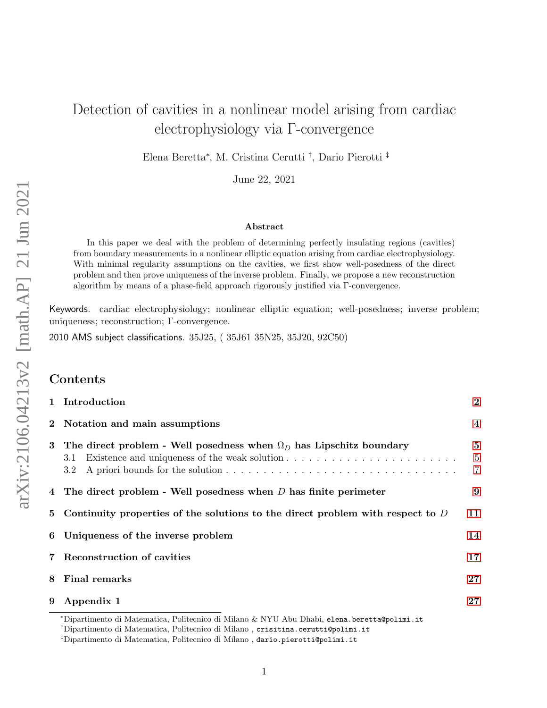# Detection of cavities in a nonlinear model arising from cardiac electrophysiology via Γ-convergence

Elena Beretta<sup>∗</sup> , M. Cristina Cerutti † , Dario Pierotti ‡

June 22, 2021

#### Abstract

In this paper we deal with the problem of determining perfectly insulating regions (cavities) from boundary measurements in a nonlinear elliptic equation arising from cardiac electrophysiology. With minimal regularity assumptions on the cavities, we first show well-posedness of the direct problem and then prove uniqueness of the inverse problem. Finally, we propose a new reconstruction algorithm by means of a phase-field approach rigorously justified via Γ-convergence.

Keywords. cardiac electrophysiology; nonlinear elliptic equation; well-posedness; inverse problem; uniqueness; reconstruction; Γ-convergence.

2010 AMS subject classifications. 35J25, ( 35J61 35N25, 35J20, 92C50)

### Contents

|                | 1 Introduction                                                                                | $\overline{2}$                  |
|----------------|-----------------------------------------------------------------------------------------------|---------------------------------|
| $\mathbf{2}$   | Notation and main assumptions                                                                 | $\overline{\mathbf{4}}$         |
| 3              | The direct problem - Well posedness when $\Omega_D$ has Lipschitz boundary<br>3.1<br>$3.2\,$  | $\bf{5}$<br>$\overline{5}$<br>7 |
|                | 4 The direct problem - Well posedness when $D$ has finite perimeter                           | 9                               |
| 5 <sup>5</sup> | Continuity properties of the solutions to the direct problem with respect to $D$              | 11                              |
|                | 6 Uniqueness of the inverse problem                                                           | 14                              |
| $7^{\circ}$    | <b>Reconstruction of cavities</b>                                                             | 17                              |
| 8              | <b>Final remarks</b>                                                                          | 27                              |
| 9              | Appendix 1                                                                                    | 27                              |
|                | *Dinantimente di Metemetica, Deliteenies di Milane ly NVII Aky Dkaki, yuwe kawatta@wa14w4, 4+ |                                 |

<sup>∗</sup>Dipartimento di Matematica, Politecnico di Milano & NYU Abu Dhabi, elena.beretta@polimi.it

<sup>†</sup>Dipartimento di Matematica, Politecnico di Milano , crisitina.cerutti@polimi.it

<sup>‡</sup>Dipartimento di Matematica, Politecnico di Milano , dario.pierotti@polimi.it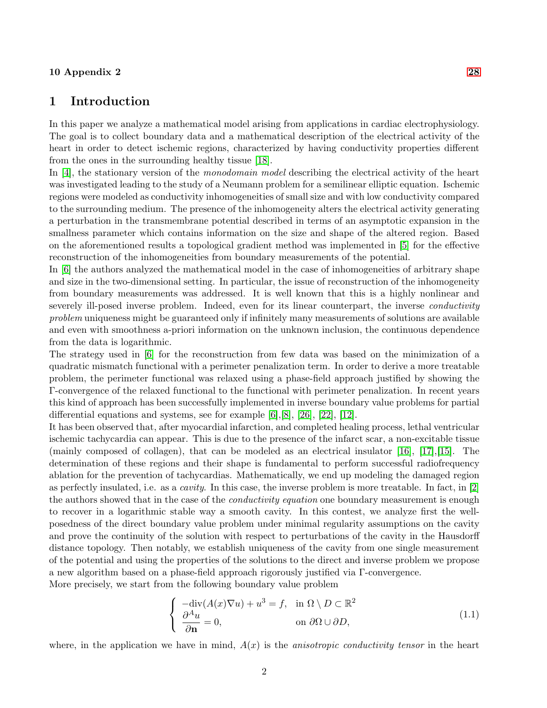#### $10$  Appendix 2 [28](#page-27-0)

#### <span id="page-1-0"></span>1 Introduction

In this paper we analyze a mathematical model arising from applications in cardiac electrophysiology. The goal is to collect boundary data and a mathematical description of the electrical activity of the heart in order to detect ischemic regions, characterized by having conductivity properties different from the ones in the surrounding healthy tissue [\[18\]](#page-30-0).

In [\[4\]](#page-29-0), the stationary version of the *monodomain model* describing the electrical activity of the heart was investigated leading to the study of a Neumann problem for a semilinear elliptic equation. Ischemic regions were modeled as conductivity inhomogeneities of small size and with low conductivity compared to the surrounding medium. The presence of the inhomogeneity alters the electrical activity generating a perturbation in the transmembrane potential described in terms of an asymptotic expansion in the smallness parameter which contains information on the size and shape of the altered region. Based on the aforementioned results a topological gradient method was implemented in [\[5\]](#page-29-1) for the effective reconstruction of the inhomogeneities from boundary measurements of the potential.

In [\[6\]](#page-29-2) the authors analyzed the mathematical model in the case of inhomogeneities of arbitrary shape and size in the two-dimensional setting. In particular, the issue of reconstruction of the inhomogeneity from boundary measurements was addressed. It is well known that this is a highly nonlinear and severely ill-posed inverse problem. Indeed, even for its linear counterpart, the inverse *conductivity* problem uniqueness might be guaranteed only if infinitely many measurements of solutions are available and even with smoothness a-priori information on the unknown inclusion, the continuous dependence from the data is logarithmic.

The strategy used in [\[6\]](#page-29-2) for the reconstruction from few data was based on the minimization of a quadratic mismatch functional with a perimeter penalization term. In order to derive a more treatable problem, the perimeter functional was relaxed using a phase-field approach justified by showing the Γ-convergence of the relaxed functional to the functional with perimeter penalization. In recent years this kind of approach has been successfully implemented in inverse boundary value problems for partial differential equations and systems, see for example  $[6],[8], [26], [22], [12]$  $[6],[8], [26], [22], [12]$  $[6],[8], [26], [22], [12]$  $[6],[8], [26], [22], [12]$  $[6],[8], [26], [22], [12]$  $[6],[8], [26], [22], [12]$  $[6],[8], [26], [22], [12]$  $[6],[8], [26], [22], [12]$ .

It has been observed that, after myocardial infarction, and completed healing process, lethal ventricular ischemic tachycardia can appear. This is due to the presence of the infarct scar, a non-excitable tissue (mainly composed of collagen), that can be modeled as an electrical insulator [\[16\]](#page-30-3), [\[17\]](#page-30-4),[\[15\]](#page-29-5). The determination of these regions and their shape is fundamental to perform successful radiofrequency ablation for the prevention of tachycardias. Mathematically, we end up modeling the damaged region as perfectly insulated, i.e. as a cavity. In this case, the inverse problem is more treatable. In fact, in [\[2\]](#page-29-6) the authors showed that in the case of the *conductivity equation* one boundary measurement is enough to recover in a logarithmic stable way a smooth cavity. In this contest, we analyze first the wellposedness of the direct boundary value problem under minimal regularity assumptions on the cavity and prove the continuity of the solution with respect to perturbations of the cavity in the Hausdorff distance topology. Then notably, we establish uniqueness of the cavity from one single measurement of the potential and using the properties of the solutions to the direct and inverse problem we propose a new algorithm based on a phase-field approach rigorously justified via Γ-convergence.

More precisely, we start from the following boundary value problem

<span id="page-1-1"></span>
$$
\begin{cases}\n-\text{div}(A(x)\nabla u) + u^3 = f, & \text{in } \Omega \setminus D \subset \mathbb{R}^2 \\
\frac{\partial^A u}{\partial \mathbf{n}} = 0, & \text{on } \partial \Omega \cup \partial D,\n\end{cases}
$$
\n(1.1)

where, in the application we have in mind,  $A(x)$  is the *anisotropic conductivity tensor* in the heart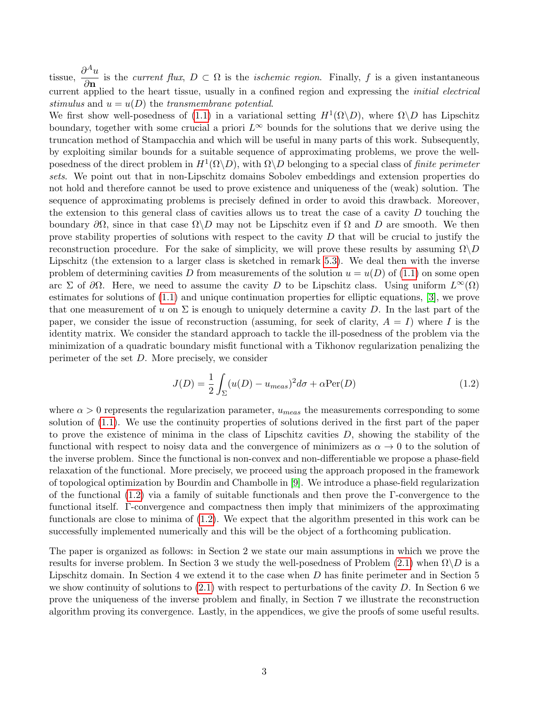tissue,  $\frac{\partial^A u}{\partial x^A}$  $\frac{\partial}{\partial \mathbf{n}}$  is the current flux,  $D \subset \Omega$  is the *ischemic region*. Finally, f is a given instantaneous current applied to the heart tissue, usually in a confined region and expressing the *initial electrical* stimulus and  $u = u(D)$  the transmembrane potential.

We first show well-posedness of [\(1.1\)](#page-1-1) in a variational setting  $H^1(\Omega \backslash D)$ , where  $\Omega \backslash D$  has Lipschitz boundary, together with some crucial a priori  $L^{\infty}$  bounds for the solutions that we derive using the truncation method of Stampacchia and which will be useful in many parts of this work. Subsequently, by exploiting similar bounds for a suitable sequence of approximating problems, we prove the wellposedness of the direct problem in  $H^1(\Omega \backslash D)$ , with  $\Omega \backslash D$  belonging to a special class of *finite perimeter* sets. We point out that in non-Lipschitz domains Sobolev embeddings and extension properties do not hold and therefore cannot be used to prove existence and uniqueness of the (weak) solution. The sequence of approximating problems is precisely defined in order to avoid this drawback. Moreover, the extension to this general class of cavities allows us to treat the case of a cavity  $D$  touching the boundary  $\partial\Omega$ , since in that case  $\Omega\setminus D$  may not be Lipschitz even if  $\Omega$  and D are smooth. We then prove stability properties of solutions with respect to the cavity  $D$  that will be crucial to justify the reconstruction procedure. For the sake of simplicity, we will prove these results by assuming  $\Omega \backslash D$ Lipschitz (the extension to a larger class is sketched in remark [5.3\)](#page-13-1). We deal then with the inverse problem of determining cavities D from measurements of the solution  $u = u(D)$  of [\(1.1\)](#page-1-1) on some open arc Σ of  $\partial\Omega$ . Here, we need to assume the cavity D to be Lipschitz class. Using uniform  $L^{\infty}(\Omega)$ estimates for solutions of [\(1.1\)](#page-1-1) and unique continuation properties for elliptic equations, [\[3\]](#page-29-7), we prove that one measurement of u on  $\Sigma$  is enough to uniquely determine a cavity D. In the last part of the paper, we consider the issue of reconstruction (assuming, for seek of clarity,  $A = I$ ) where I is the identity matrix. We consider the standard approach to tackle the ill-posedness of the problem via the minimization of a quadratic boundary misfit functional with a Tikhonov regularization penalizing the perimeter of the set D. More precisely, we consider

<span id="page-2-0"></span>
$$
J(D) = \frac{1}{2} \int_{\Sigma} (u(D) - u_{meas})^2 d\sigma + \alpha \text{Per}(D)
$$
\n(1.2)

where  $\alpha > 0$  represents the regularization parameter,  $u_{meas}$  the measurements corresponding to some solution of [\(1.1\)](#page-1-1). We use the continuity properties of solutions derived in the first part of the paper to prove the existence of minima in the class of Lipschitz cavities  $D$ , showing the stability of the functional with respect to noisy data and the convergence of minimizers as  $\alpha \to 0$  to the solution of the inverse problem. Since the functional is non-convex and non-differentiable we propose a phase-field relaxation of the functional. More precisely, we proceed using the approach proposed in the framework of topological optimization by Bourdin and Chambolle in [\[9\]](#page-29-8). We introduce a phase-field regularization of the functional [\(1.2\)](#page-2-0) via a family of suitable functionals and then prove the Γ-convergence to the functional itself. Γ-convergence and compactness then imply that minimizers of the approximating functionals are close to minima of [\(1.2\)](#page-2-0). We expect that the algorithm presented in this work can be successfully implemented numerically and this will be the object of a forthcoming publication.

The paper is organized as follows: in Section 2 we state our main assumptions in which we prove the results for inverse problem. In Section 3 we study the well-posedness of Problem  $(2.1)$  when  $\Omega \backslash D$  is a Lipschitz domain. In Section 4 we extend it to the case when D has finite perimeter and in Section 5 we show continuity of solutions to  $(2.1)$  with respect to perturbations of the cavity D. In Section 6 we prove the uniqueness of the inverse problem and finally, in Section 7 we illustrate the reconstruction algorithm proving its convergence. Lastly, in the appendices, we give the proofs of some useful results.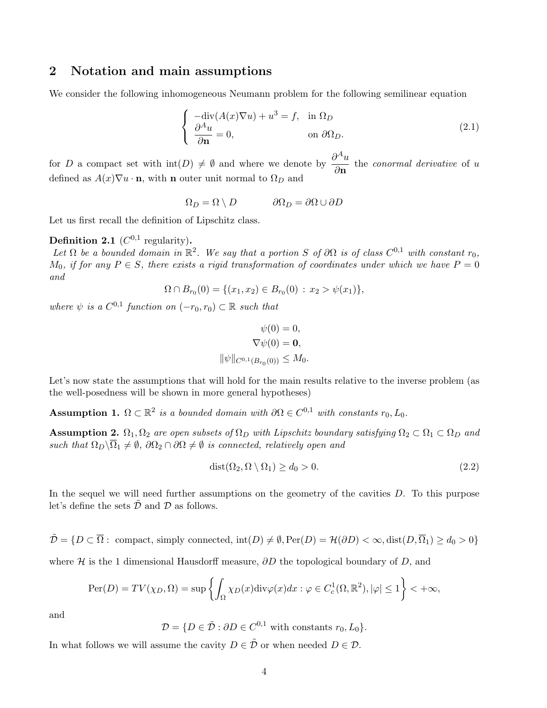#### <span id="page-3-0"></span>2 Notation and main assumptions

We consider the following inhomogeneous Neumann problem for the following semilinear equation

<span id="page-3-1"></span>
$$
\begin{cases}\n-\text{div}(A(x)\nabla u) + u^3 = f, & \text{in } \Omega_D \\
\frac{\partial^A u}{\partial \mathbf{n}} = 0, & \text{on } \partial \Omega_D.\n\end{cases}
$$
\n(2.1)

for D a compact set with  $\text{int}(D) \neq \emptyset$  and where we denote by  $\frac{\partial^A u}{\partial \lambda^B}$  $\frac{\partial}{\partial \mathbf{n}}$  the conormal derivative of u defined as  $A(x)\nabla u \cdot \mathbf{n}$ , with **n** outer unit normal to  $\Omega_D$  and

$$
\Omega_D = \Omega \setminus D \qquad \qquad \partial \Omega_D = \partial \Omega \cup \partial D
$$

Let us first recall the definition of Lipschitz class.

#### <span id="page-3-2"></span>**Definition 2.1** ( $C^{0,1}$  regularity).

Let  $\Omega$  be a bounded domain in  $\mathbb{R}^2$ . We say that a portion S of  $\partial\Omega$  is of class  $C^{0,1}$  with constant  $r_0$ ,  $M_0$ , if for any  $P \in S$ , there exists a rigid transformation of coordinates under which we have  $P = 0$ and

$$
\Omega \cap B_{r_0}(0) = \{ (x_1, x_2) \in B_{r_0}(0) : x_2 > \psi(x_1) \},\
$$

where  $\psi$  is a  $C^{0,1}$  function on  $(-r_0, r_0) \subset \mathbb{R}$  such that

$$
\psi(0) = 0,
$$
  
\n
$$
\nabla \psi(0) = \mathbf{0},
$$
  
\n
$$
\|\psi\|_{C^{0,1}(B_{r_0}(0))} \le M_0.
$$

Let's now state the assumptions that will hold for the main results relative to the inverse problem (as the well-posedness will be shown in more general hypotheses)

<span id="page-3-3"></span>Assumption 1.  $\Omega \subset \mathbb{R}^2$  is a bounded domain with  $\partial \Omega \in C^{0,1}$  with constants  $r_0, L_0$ .

**Assumption 2.**  $\Omega_1, \Omega_2$  are open subsets of  $\Omega_D$  with Lipschitz boundary satisfying  $\Omega_2 \subset \Omega_1 \subset \Omega_D$  and such that  $\Omega_D\backslash\overline{\Omega}_1\neq\emptyset$ ,  $\partial\Omega_2\cap\partial\Omega\neq\emptyset$  is connected, relatively open and

$$
dist(\Omega_2, \Omega \setminus \Omega_1) \ge d_0 > 0. \tag{2.2}
$$

In the sequel we will need further assumptions on the geometry of the cavities  $D$ . To this purpose let's define the sets  $\mathcal D$  and  $\mathcal D$  as follows.

$$
\tilde{\mathcal{D}} = \{ D \subset \overline{\Omega} : \text{ compact, simply connected, int}(D) \neq \emptyset, \text{Per}(D) = \mathcal{H}(\partial D) < \infty, \text{dist}(D, \overline{\Omega}_1) \geq d_0 > 0 \}
$$

where H is the 1 dimensional Hausdorff measure,  $\partial D$  the topological boundary of D, and

$$
\operatorname{Per}(D) = TV(\chi_D, \Omega) = \sup \left\{ \int_{\Omega} \chi_D(x) \operatorname{div} \varphi(x) dx : \varphi \in C_c^1(\Omega, \mathbb{R}^2), |\varphi| \le 1 \right\} < +\infty,
$$

and

$$
\mathcal{D} = \{ D \in \tilde{\mathcal{D}} : \partial D \in C^{0,1} \text{ with constants } r_0, L_0 \}.
$$

In what follows we will assume the cavity  $D \in \tilde{\mathcal{D}}$  or when needed  $D \in \mathcal{D}$ .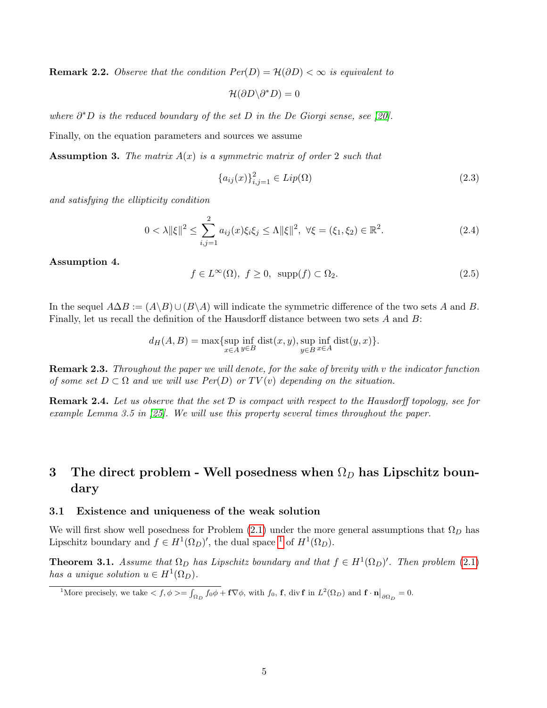**Remark 2.2.** Observe that the condition  $Per(D) = \mathcal{H}(\partial D) < \infty$  is equivalent to

 $\mathcal{H}(\partial D \backslash \partial^* D) = 0$ 

where  $\partial^*D$  is the reduced boundary of the set D in the De Giorgi sense, see [\[20\]](#page-30-5).

Finally, on the equation parameters and sources we assume

**Assumption 3.** The matrix  $A(x)$  is a symmetric matrix of order 2 such that

$$
\{a_{ij}(x)\}_{i,j=1}^2 \in Lip(\Omega)
$$
\n(2.3)

and satisfying the ellipticity condition

<span id="page-4-3"></span>
$$
0 < \lambda \|\xi\|^2 \le \sum_{i,j=1}^2 a_{ij}(x)\xi_i\xi_j \le \Lambda \|\xi\|^2, \ \forall \xi = (\xi_1, \xi_2) \in \mathbb{R}^2. \tag{2.4}
$$

<span id="page-4-5"></span>Assumption 4.

$$
f \in L^{\infty}(\Omega), \ f \ge 0, \ \ \text{supp}(f) \subset \Omega_2. \tag{2.5}
$$

In the sequel  $A\Delta B := (A\Bra B) \cup (B\Bra A)$  will indicate the symmetric difference of the two sets A and B. Finally, let us recall the definition of the Hausdorff distance between two sets A and B:

$$
d_H(A, B) = \max \{ \sup_{x \in A} \inf_{y \in B} \text{dist}(x, y), \sup_{y \in B} \inf_{x \in A} \text{dist}(y, x) \}.
$$

**Remark 2.3.** Throughout the paper we will denote, for the sake of brevity with  $v$  the indicator function of some set  $D \subset \Omega$  and we will use  $Per(D)$  or  $TV(v)$  depending on the situation.

<span id="page-4-6"></span>**Remark 2.4.** Let us observe that the set  $\mathcal D$  is compact with respect to the Hausdorff topology, see for example Lemma 3.5 in [\[25\]](#page-30-6). We will use this property several times throughout the paper.

## <span id="page-4-0"></span>3 The direct problem - Well posedness when  $\Omega_D$  has Lipschitz boundary

#### <span id="page-4-1"></span>3.1 Existence and uniqueness of the weak solution

We will first show well posedness for Problem [\(2.1\)](#page-3-1) under the more general assumptions that  $\Omega_D$  has Lipschitz boundary and  $f \in H^1(\Omega_D)'$  $f \in H^1(\Omega_D)'$  $f \in H^1(\Omega_D)'$ , the dual space <sup>1</sup> of  $H^1(\Omega_D)$ .

<span id="page-4-4"></span>**Theorem 3.1.** Assume that  $\Omega_D$  has Lipschitz boundary and that  $f \in H^1(\Omega_D)'$ . Then problem [\(2.1\)](#page-3-1) has a unique solution  $u \in H^1(\Omega_D)$ .

<span id="page-4-2"></span><sup>1</sup>More precisely, we take  $\langle f, \phi \rangle = \int_{\Omega_D} f_0 \phi + f \nabla \phi$ , with  $f_0$ , **f**, div **f** in  $L^2(\Omega_D)$  and  $f \cdot \mathbf{n}|_{\partial \Omega_D} = 0$ .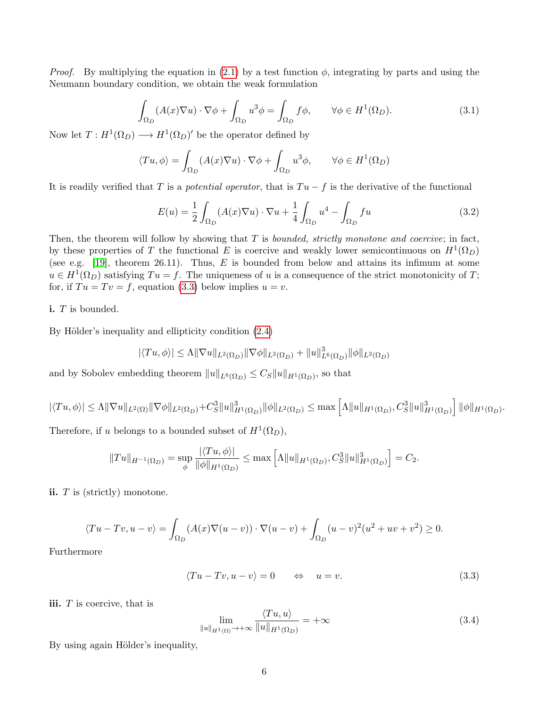*Proof.* By multiplying the equation in [\(2.1\)](#page-3-1) by a test function  $\phi$ , integrating by parts and using the Neumann boundary condition, we obtain the weak formulation

<span id="page-5-2"></span>
$$
\int_{\Omega_D} (A(x)\nabla u) \cdot \nabla \phi + \int_{\Omega_D} u^3 \phi = \int_{\Omega_D} f\phi, \qquad \forall \phi \in H^1(\Omega_D). \tag{3.1}
$$

Now let  $T: H^1(\Omega_D) \longrightarrow H^1(\Omega_D)'$  be the operator defined by

$$
\langle Tu, \phi \rangle = \int_{\Omega_D} (A(x)\nabla u) \cdot \nabla \phi + \int_{\Omega_D} u^3 \phi, \qquad \forall \phi \in H^1(\Omega_D)
$$

It is readily verified that T is a potential operator, that is  $Tu - f$  is the derivative of the functional

$$
E(u) = \frac{1}{2} \int_{\Omega_D} (A(x)\nabla u) \cdot \nabla u + \frac{1}{4} \int_{\Omega_D} u^4 - \int_{\Omega_D} fu \tag{3.2}
$$

Then, the theorem will follow by showing that  $T$  is *bounded, strictly monotone and coercive*; in fact, by these properties of T the functional E is coercive and weakly lower semicontinuous on  $H^1(\Omega_D)$ (see e.g. [\[19\]](#page-30-7), theorem 26.11). Thus,  $E$  is bounded from below and attains its infimum at some  $u \in H^1(\Omega_D)$  satisfying  $Tu = f$ . The uniqueness of u is a consequence of the strict monotonicity of T; for, if  $Tu = Tv = f$ , equation [\(3.3\)](#page-5-0) below implies  $u = v$ .

i. T is bounded.

By Hölder's inequality and ellipticity condition  $(2.4)$ 

<span id="page-5-0"></span>
$$
|\langle Tu, \phi \rangle| \le \Lambda \|\nabla u\|_{L^2(\Omega_D)} \|\nabla \phi\|_{L^2(\Omega_D)} + \|u\|_{L^6(\Omega_D)}^3 \|\phi\|_{L^2(\Omega_D)}
$$

and by Sobolev embedding theorem  $||u||_{L^6(\Omega_D)} \leq C_S ||u||_{H^1(\Omega_D)}$ , so that

$$
|\langle Tu, \phi \rangle| \le \Lambda \|\nabla u\|_{L^2(\Omega)} \|\nabla \phi\|_{L^2(\Omega_D)} + C_S^3 \|u\|_{H^1(\Omega_D)}^3 \|\phi\|_{L^2(\Omega_D)} \le \max \left[ \Lambda \|u\|_{H^1(\Omega_D)}, C_S^3 \|u\|_{H^1(\Omega_D)}^3 \right] \|\phi\|_{H^1(\Omega_D)}
$$

Therefore, if u belongs to a bounded subset of  $H^1(\Omega_D)$ ,

$$
||Tu||_{H^{-1}(\Omega_D)} = \sup_{\phi} \frac{|\langle Tu, \phi \rangle|}{||\phi||_{H^1(\Omega_D)}} \le \max \left[ \Lambda ||u||_{H^1(\Omega_D)}, C_S^3 ||u||_{H^1(\Omega_D)}^3 \right] = C_2.
$$

ii. T is (strictly) monotone.

$$
\langle Tu - Tv, u - v \rangle = \int_{\Omega_D} (A(x)\nabla(u - v)) \cdot \nabla(u - v) + \int_{\Omega_D} (u - v)^2 (u^2 + uv + v^2) \ge 0.
$$

Furthermore

$$
\langle Tu - Tv, u - v \rangle = 0 \qquad \Leftrightarrow \quad u = v. \tag{3.3}
$$

.

iii.  $T$  is coercive, that is

<span id="page-5-1"></span>
$$
\lim_{\|u\|_{H^{1}(\Omega)} \to +\infty} \frac{\langle Tu, u \rangle}{\|u\|_{H^{1}(\Omega_D)}} = +\infty
$$
\n(3.4)

By using again Hölder's inequality,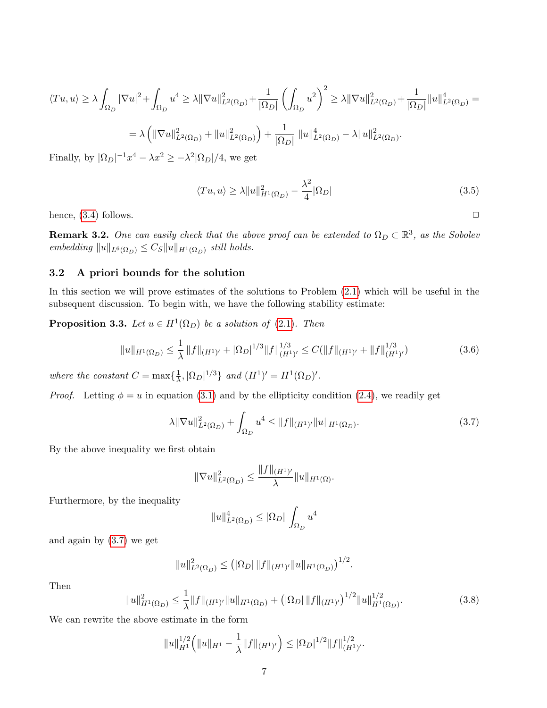$$
\langle Tu, u \rangle \ge \lambda \int_{\Omega_D} |\nabla u|^2 + \int_{\Omega_D} u^4 \ge \lambda ||\nabla u||_{L^2(\Omega_D)}^2 + \frac{1}{|\Omega_D|} \left( \int_{\Omega_D} u^2 \right)^2 \ge \lambda ||\nabla u||_{L^2(\Omega_D)}^2 + \frac{1}{|\Omega_D|} ||u||_{L^2(\Omega_D)}^4 =
$$
  
=  $\lambda \left( ||\nabla u||_{L^2(\Omega_D)}^2 + ||u||_{L^2(\Omega_D)}^2 \right) + \frac{1}{|\Omega_D|} ||u||_{L^2(\Omega_D)}^4 - \lambda ||u||_{L^2(\Omega_D)}^2.$ 

Finally, by  $|\Omega_D|^{-1}x^4 - \lambda x^2 \geq -\lambda^2 |\Omega_D|/4$ , we get

$$
\langle Tu, u \rangle \ge \lambda \|u\|_{H^1(\Omega_D)}^2 - \frac{\lambda^2}{4} |\Omega_D| \tag{3.5}
$$

hence,  $(3.4)$  follows.  $\Box$ 

**Remark 3.2.** One can easily check that the above proof can be extended to  $\Omega_D \subset \mathbb{R}^3$ , as the Sobolev embedding  $||u||_{L^6(\Omega_D)} \leq C_S ||u||_{H^1(\Omega_D)}$  still holds.

#### <span id="page-6-0"></span>3.2 A priori bounds for the solution

In this section we will prove estimates of the solutions to Problem [\(2.1\)](#page-3-1) which will be useful in the subsequent discussion. To begin with, we have the following stability estimate:

**Proposition 3.3.** Let  $u \in H^1(\Omega_D)$  be a solution of [\(2.1\)](#page-3-1). Then

<span id="page-6-2"></span>
$$
||u||_{H^1(\Omega_D)} \le \frac{1}{\lambda} ||f||_{(H^1)'} + |\Omega_D|^{1/3} ||f||_{(H^1)'}^{1/3} \le C(||f||_{(H^1)'} + ||f||_{(H^1)'}^{1/3})
$$
\n(3.6)

where the constant  $C = \max\{\frac{1}{\lambda}\}$  $\frac{1}{\lambda}, |\Omega_D|^{1/3}\}$  and  $(H^1)' = H^1(\Omega_D)'$ .

*Proof.* Letting  $\phi = u$  in equation [\(3.1\)](#page-5-2) and by the ellipticity condition [\(2.4\)](#page-4-3), we readily get

<span id="page-6-1"></span>
$$
\lambda \|\nabla u\|_{L^2(\Omega_D)}^2 + \int_{\Omega_D} u^4 \le \|f\|_{(H^1)'} \|u\|_{H^1(\Omega_D)}.
$$
\n(3.7)

By the above inequality we first obtain

<span id="page-6-4"></span>
$$
\|\nabla u\|_{L^2(\Omega_D)}^2 \le \frac{\|f\|_{(H^1)'} }{\lambda} \|u\|_{H^1(\Omega)}.
$$

Furthermore, by the inequality

$$
||u||_{L^2(\Omega_D)}^4 \le |\Omega_D| \int_{\Omega_D} u^4
$$

and again by [\(3.7\)](#page-6-1) we get

$$
||u||_{L^{2}(\Omega_D)}^{2} \leq (|\Omega_D| ||f||_{(H^1)'} ||u||_{H^1(\Omega_D)})^{1/2}.
$$

Then

$$
||u||_{H^{1}(\Omega_{D})}^{2} \leq \frac{1}{\lambda} ||f||_{(H^{1})'} ||u||_{H^{1}(\Omega_{D})} + (|\Omega_{D}| ||f||_{(H^{1})'})^{1/2} ||u||_{H^{1}(\Omega_{D})}^{1/2}.
$$
\n(3.8)

We can rewrite the above estimate in the form

<span id="page-6-3"></span>
$$
||u||_{H^1}^{1/2} (||u||_{H^1} - \frac{1}{\lambda} ||f||_{(H^1)'}) \leq |\Omega_D|^{1/2} ||f||_{(H^1)'}^{1/2}.
$$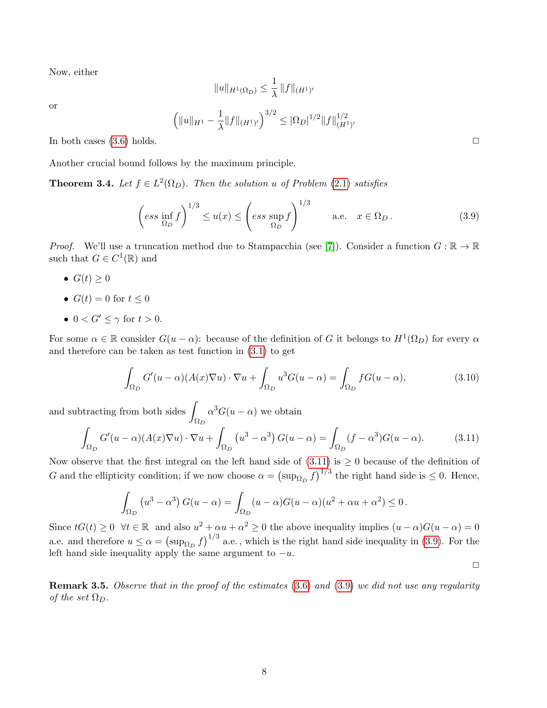Now, either

$$
||u||_{H^1(\Omega_D)} \leq \frac{1}{\lambda} ||f||_{(H^1)'}
$$

or

$$
\left( \|u\|_{H^1} - \frac{1}{\lambda} \|f\|_{(H^1)'} \right)^{3/2} \leq |\Omega_D|^{1/2} \|f\|_{(H^1)'}^{1/2}
$$

In both cases  $(3.6)$  holds.  $\Box$ 

Another crucial bound follows by the maximum principle.

<span id="page-7-1"></span>**Theorem 3.4.** Let  $f \in L^2(\Omega_D)$ . Then the solution u of Problem [\(2.1\)](#page-3-1) satisfies

$$
\left(ess\,\inf_{\Omega_D} f\right)^{1/3} \le u(x) \le \left(ess\,\sup_{\Omega_D} f\right)^{1/3} \qquad \text{a.e.} \quad x \in \Omega_D. \tag{3.9}
$$

*Proof.* We'll use a truncation method due to Stampacchia (see [\[7\]](#page-29-9)). Consider a function  $G : \mathbb{R} \to \mathbb{R}$ such that  $G \in C^1(\mathbb{R})$  and

- $G(t) > 0$
- $G(t) = 0$  for  $t < 0$
- $0 < G' < \gamma$  for  $t > 0$ .

For some  $\alpha \in \mathbb{R}$  consider  $G(u - \alpha)$ : because of the definition of G it belongs to  $H^1(\Omega_D)$  for every  $\alpha$ and therefore can be taken as test function in [\(3.1\)](#page-5-2) to get

$$
\int_{\Omega_D} G'(u-\alpha)(A(x)\nabla u) \cdot \nabla u + \int_{\Omega_D} u^3 G(u-\alpha) = \int_{\Omega_D} f G(u-\alpha),\tag{3.10}
$$

and subtracting from both sides  $\int$  $\Omega_D$  $\alpha^3 G(u-\alpha)$  we obtain

<span id="page-7-0"></span>
$$
\int_{\Omega_D} G'(u-\alpha)(A(x)\nabla u) \cdot \nabla u + \int_{\Omega_D} \left( u^3 - \alpha^3 \right) G(u-\alpha) = \int_{\Omega_D} (f-\alpha^3)G(u-\alpha). \tag{3.11}
$$

Now observe that the first integral on the left hand side of  $(3.11)$  is  $\geq 0$  because of the definition of G and the ellipticity condition; if we now choose  $\alpha = (\sup_{\Omega_D} f)^{1/3}$  the right hand side is  $\leq 0$ . Hence,

$$
\int_{\Omega_D} \left( u^3 - \alpha^3 \right) G(u - \alpha) = \int_{\Omega_D} (u - \alpha) G(u - \alpha) (u^2 + \alpha u + \alpha^2) \le 0.
$$

Since  $tG(t) \geq 0 \ \forall t \in \mathbb{R}$  and also  $u^2 + \alpha u + \alpha^2 \geq 0$  the above inequality implies  $(u - \alpha)G(u - \alpha) = 0$ a.e. and therefore  $u \le \alpha = (\sup_{\Omega_D} f)^{1/3}$  a.e., which is the right hand side inequality in [\(3.9\)](#page-6-3). For the left hand side inequality apply the same argument to  $-u$ .

**Remark 3.5.** Observe that in the proof of the estimates [\(3.6\)](#page-6-2) and [\(3.9\)](#page-6-3) we did not use any regularity of the set  $\Omega_D$ .

 $\Box$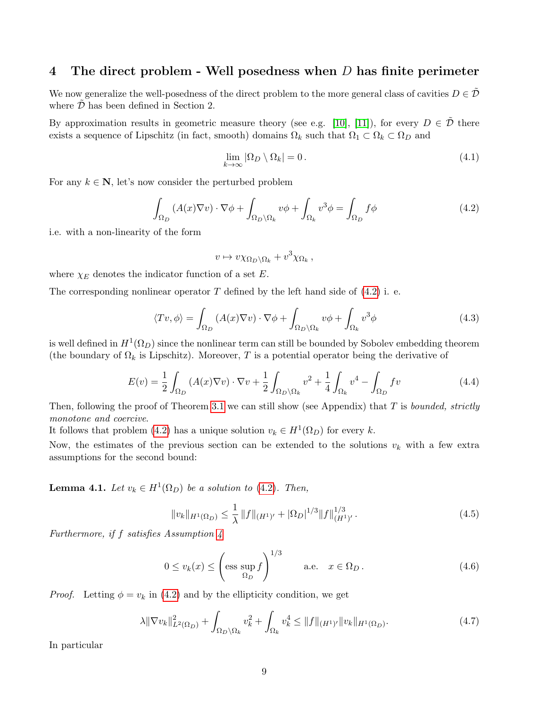#### <span id="page-8-0"></span>4 The direct problem - Well posedness when  $D$  has finite perimeter

We now generalize the well-posedness of the direct problem to the more general class of cavities  $D \in \mathcal{D}$ where  $D$  has been defined in Section 2.

By approximation results in geometric measure theory (see e.g. [\[10\]](#page-29-10), [\[11\]](#page-29-11)), for every  $D \in \tilde{\mathcal{D}}$  there exists a sequence of Lipschitz (in fact, smooth) domains  $\Omega_k$  such that  $\Omega_1 \subset \Omega_k \subset \Omega_D$  and

$$
\lim_{k \to \infty} |\Omega_D \setminus \Omega_k| = 0. \tag{4.1}
$$

For any  $k \in \mathbb{N}$ , let's now consider the perturbed problem

<span id="page-8-1"></span>
$$
\int_{\Omega_D} (A(x)\nabla v) \cdot \nabla \phi + \int_{\Omega_D \backslash \Omega_k} v\phi + \int_{\Omega_k} v^3 \phi = \int_{\Omega_D} f\phi \tag{4.2}
$$

i.e. with a non-linearity of the form

$$
v \mapsto v \chi_{\Omega_D \backslash \Omega_k} + v^3 \chi_{\Omega_k} ,
$$

where  $\chi_E$  denotes the indicator function of a set E.

The corresponding nonlinear operator  $T$  defined by the left hand side of  $(4.2)$  i. e.

<span id="page-8-5"></span>
$$
\langle Tv, \phi \rangle = \int_{\Omega_D} (A(x)\nabla v) \cdot \nabla \phi + \int_{\Omega_D \setminus \Omega_k} v\phi + \int_{\Omega_k} v^3 \phi \tag{4.3}
$$

is well defined in  $H^1(\Omega_D)$  since the nonlinear term can still be bounded by Sobolev embedding theorem (the boundary of  $\Omega_k$  is Lipschitz). Moreover, T is a potential operator being the derivative of

$$
E(v) = \frac{1}{2} \int_{\Omega_D} (A(x)\nabla v) \cdot \nabla v + \frac{1}{2} \int_{\Omega_D \setminus \Omega_k} v^2 + \frac{1}{4} \int_{\Omega_k} v^4 - \int_{\Omega_D} fv \tag{4.4}
$$

Then, following the proof of Theorem [3.1](#page-4-4) we can still show (see Appendix) that  $T$  is bounded, strictly monotone and coercive.

It follows that problem [\(4.2\)](#page-8-1) has a unique solution  $v_k \in H^1(\Omega_D)$  for every k.

Now, the estimates of the previous section can be extended to the solutions  $v_k$  with a few extra assumptions for the second bound:

<span id="page-8-3"></span>**Lemma 4.1.** Let  $v_k \in H^1(\Omega_D)$  be a solution to [\(4.2\)](#page-8-1). Then,

<span id="page-8-2"></span>
$$
||v_k||_{H^1(\Omega_D)} \le \frac{1}{\lambda} ||f||_{(H^1)'} + |\Omega_D|^{1/3} ||f||_{(H^1)'}^{1/3}.
$$
\n(4.5)

Furthermore, if f satisfies Assumption [4](#page-4-5)

<span id="page-8-4"></span>
$$
0 \le v_k(x) \le \left(\text{ess sup } f\right)^{1/3} \qquad \text{a.e.} \quad x \in \Omega_D. \tag{4.6}
$$

*Proof.* Letting  $\phi = v_k$  in [\(4.2\)](#page-8-1) and by the ellipticity condition, we get

$$
\lambda \|\nabla v_k\|_{L^2(\Omega_D)}^2 + \int_{\Omega_D \backslash \Omega_k} v_k^2 + \int_{\Omega_k} v_k^4 \le \|f\|_{(H^1)'} \|v_k\|_{H^1(\Omega_D)}.
$$
\n(4.7)

In particular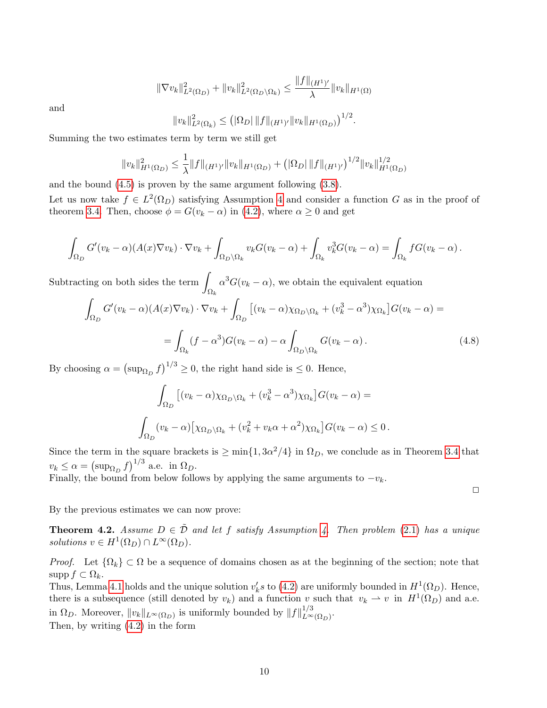$$
\|\nabla v_k\|_{L^2(\Omega_D)}^2 + \|v_k\|_{L^2(\Omega_D \setminus \Omega_k)}^2 \le \frac{\|f\|_{(H^1)'} }{\lambda} \|v_k\|_{H^1(\Omega)}
$$

and

$$
||v_k||_{L^2(\Omega_k)}^2 \leq (|\Omega_D| ||f||_{(H^1)'} ||v_k||_{H^1(\Omega_D)})^{1/2}.
$$

Summing the two estimates term by term we still get

$$
||v_k||_{H^1(\Omega_D)}^2 \leq \frac{1}{\lambda} ||f||_{(H^1)'} ||v_k||_{H^1(\Omega_D)} + (|\Omega_D| ||f||_{(H^1)'})^{1/2} ||v_k||_{H^1(\Omega_D)}^{1/2}
$$

and the bound [\(4.5\)](#page-8-2) is proven by the same argument following [\(3.8\)](#page-6-4).

Let us now take  $f \in L^2(\Omega_D)$  satisfying Assumption [4](#page-4-5) and consider a function G as in the proof of theorem [3.4.](#page-7-1) Then, choose  $\phi = G(v_k - \alpha)$  in [\(4.2\)](#page-8-1), where  $\alpha \geq 0$  and get

$$
\int_{\Omega_D} G'(v_k - \alpha) (A(x) \nabla v_k) \cdot \nabla v_k + \int_{\Omega_D \setminus \Omega_k} v_k G(v_k - \alpha) + \int_{\Omega_k} v_k^3 G(v_k - \alpha) = \int_{\Omega_k} f G(v_k - \alpha) .
$$

Subtracting on both sides the term  $\int$  $\Omega_k$  $\alpha^{3}G(v_{k}-\alpha)$ , we obtain the equivalent equation

$$
\int_{\Omega_D} G'(v_k - \alpha)(A(x)\nabla v_k) \cdot \nabla v_k + \int_{\Omega_D} \left[ (v_k - \alpha)\chi_{\Omega_D\backslash\Omega_k} + (v_k^3 - \alpha^3)\chi_{\Omega_k} \right] G(v_k - \alpha) =
$$
\n
$$
= \int_{\Omega_k} (f - \alpha^3)G(v_k - \alpha) - \alpha \int_{\Omega_D\backslash\Omega_k} G(v_k - \alpha). \tag{4.8}
$$

By choosing  $\alpha = (\sup_{\Omega_D} f)^{1/3} \ge 0$ , the right hand side is  $\le 0$ . Hence,

$$
\int_{\Omega_D} \left[ (v_k - \alpha) \chi_{\Omega_D \setminus \Omega_k} + (v_k^3 - \alpha^3) \chi_{\Omega_k} \right] G(v_k - \alpha) =
$$
  

$$
\int_{\Omega_D} (v_k - \alpha) \left[ \chi_{\Omega_D \setminus \Omega_k} + (v_k^2 + v_k \alpha + \alpha^2) \chi_{\Omega_k} \right] G(v_k - \alpha) \le 0.
$$

Since the term in the square brackets is  $\geq \min\{1, 3\alpha^2/4\}$  in  $\Omega_D$ , we conclude as in Theorem [3.4](#page-7-1) that  $v_k \leq \alpha = \left(\sup_{\Omega_D} f\right)^{1/3}$  a.e. in  $\Omega_D$ .

Finally, the bound from below follows by applying the same arguments to  $-v_k$ .

 $\Box$ 

By the previous estimates we can now prove:

<span id="page-9-0"></span>**Theorem [4.](#page-4-5)2.** Assume  $D \in \tilde{\mathcal{D}}$  and let f satisfy Assumption 4. Then problem [\(2.1\)](#page-3-1) has a unique solutions  $v \in H^1(\Omega_D) \cap L^{\infty}(\Omega_D)$ .

*Proof.* Let  $\{\Omega_k\} \subset \Omega$  be a sequence of domains chosen as at the beginning of the section; note that supp  $f \subset \Omega_k$ .

Thus, Lemma [4.1](#page-8-3) holds and the unique solution  $v'_k s$  to [\(4.2\)](#page-8-1) are uniformly bounded in  $H^1(\Omega_D)$ . Hence, there is a subsequence (still denoted by  $v_k$ ) and a function v such that  $v_k \rightharpoonup v$  in  $H^1(\Omega_D)$  and a.e. in  $\Omega_D$ . Moreover,  $||v_k||_{L^{\infty}(\Omega_D)}$  is uniformly bounded by  $||f||_{L^{\infty}}^{1/3}$  $L^{\infty}(\Omega_D)$ .

Then, by writing [\(4.2\)](#page-8-1) in the form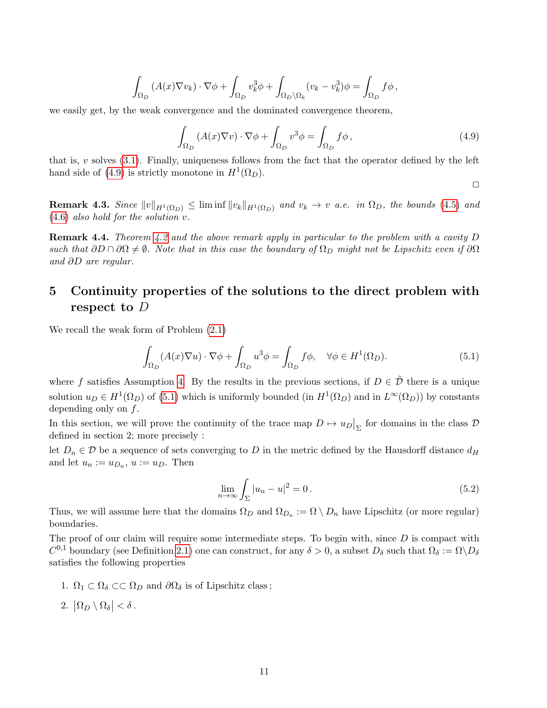<span id="page-10-1"></span>
$$
\int_{\Omega_D} (A(x)\nabla v_k) \cdot \nabla \phi + \int_{\Omega_D} v_k^3 \phi + \int_{\Omega_D \setminus \Omega_k} (v_k - v_k^3) \phi = \int_{\Omega_D} f \phi,
$$

we easily get, by the weak convergence and the dominated convergence theorem,

$$
\int_{\Omega_D} (A(x)\nabla v) \cdot \nabla \phi + \int_{\Omega_D} v^3 \phi = \int_{\Omega_D} f \phi, \qquad (4.9)
$$

that is,  $v$  solves  $(3.1)$ . Finally, uniqueness follows from the fact that the operator defined by the left hand side of [\(4.9\)](#page-10-1) is strictly monotone in  $H^1(\Omega_D)$ .

$$
\Box
$$

**Remark 4.3.** Since  $||v||_{H^1(\Omega_D)} \leq \liminf ||v_k||_{H^1(\Omega_D)}$  and  $v_k \to v$  a.e. in  $\Omega_D$ , the bounds [\(4.5\)](#page-8-2) and [\(4.6\)](#page-8-4) also hold for the solution v.

**Remark 4.4.** Theorem [4.2](#page-9-0) and the above remark apply in particular to the problem with a cavity  $D$ such that  $\partial D \cap \partial \Omega \neq \emptyset$ . Note that in this case the boundary of  $\Omega_D$  might not be Lipschitz even if  $\partial \Omega$ and ∂D are regular.

## <span id="page-10-0"></span>5 Continuity properties of the solutions to the direct problem with respect to D

We recall the weak form of Problem [\(2.1\)](#page-3-1)

<span id="page-10-2"></span>
$$
\int_{\Omega_D} (A(x)\nabla u) \cdot \nabla \phi + \int_{\Omega_D} u^3 \phi = \int_{\Omega_D} f\phi, \quad \forall \phi \in H^1(\Omega_D). \tag{5.1}
$$

where f satisfies Assumption [4.](#page-4-5) By the results in the previous sections, if  $D \in \tilde{\mathcal{D}}$  there is a unique solution  $u_D \in H^1(\Omega_D)$  of [\(5.1\)](#page-10-2) which is uniformly bounded (in  $H^1(\Omega_D)$  and in  $L^{\infty}(\Omega_D)$ ) by constants depending only on  $f$ .

In this section, we will prove the continuity of the trace map  $D \mapsto u_D|_{\Sigma}$  for domains in the class  $D$ defined in section 2; more precisely :

let  $D_n \in \mathcal{D}$  be a sequence of sets converging to D in the metric defined by the Hausdorff distance  $d_H$ and let  $u_n := u_{D_n}$ ,  $u := u_D$ . Then

$$
\lim_{n \to \infty} \int_{\Sigma} |u_n - u|^2 = 0. \tag{5.2}
$$

Thus, we will assume here that the domains  $\Omega_D$  and  $\Omega_{D_n} := \Omega \setminus D_n$  have Lipschitz (or more regular) boundaries.

The proof of our claim will require some intermediate steps. To begin with, since  $D$  is compact with  $C^{0,1}$  boundary (see Definition [2.1\)](#page-3-2) one can construct, for any  $\delta > 0$ , a subset  $D_{\delta}$  such that  $\Omega_{\delta} := \Omega \backslash D_{\delta}$ satisfies the following properties

- 1.  $\Omega_1 \subset \Omega_\delta \subset \subset \Omega_D$  and  $\partial \Omega_\delta$  is of Lipschitz class;
- 2.  $|\Omega_D \setminus \Omega_\delta| < \delta$ .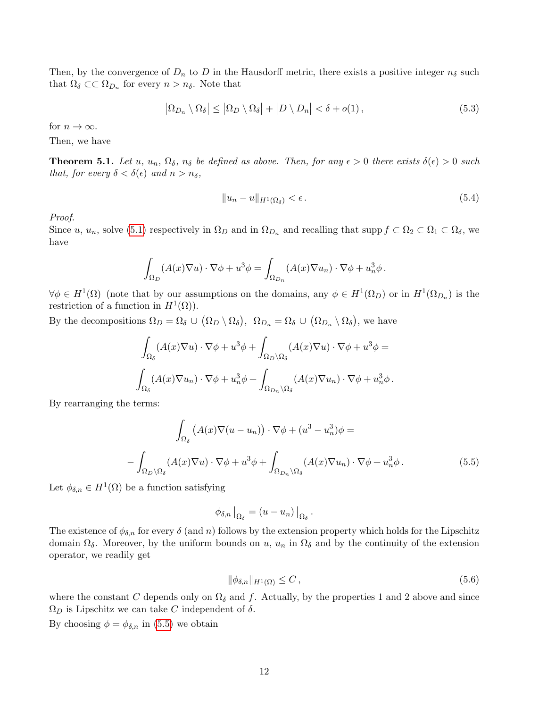Then, by the convergence of  $D_n$  to D in the Hausdorff metric, there exists a positive integer  $n_{\delta}$  such that  $\Omega_{\delta} \subset\subset \Omega_{D_n}$  for every  $n > n_{\delta}$ . Note that

<span id="page-11-2"></span>
$$
\left|\Omega_{D_n}\setminus\Omega_{\delta}\right| \le \left|\Omega_D\setminus\Omega_{\delta}\right| + \left|D\setminus D_n\right| < \delta + o(1),\tag{5.3}
$$

for  $n \to \infty$ .

Then, we have

**Theorem 5.1.** Let u,  $u_n$ ,  $\Omega_{\delta}$ ,  $n_{\delta}$  be defined as above. Then, for any  $\epsilon > 0$  there exists  $\delta(\epsilon) > 0$  such that, for every  $\delta < \delta(\epsilon)$  and  $n > n_{\delta}$ ,

<span id="page-11-3"></span>
$$
||u_n - u||_{H^1(\Omega_\delta)} < \epsilon. \tag{5.4}
$$

Proof.

Since u,  $u_n$ , solve [\(5.1\)](#page-10-2) respectively in  $\Omega_D$  and in  $\Omega_{D_n}$  and recalling that supp  $f \subset \Omega_2 \subset \Omega_1 \subset \Omega_\delta$ , we have

<span id="page-11-0"></span>
$$
\int_{\Omega_D} (A(x)\nabla u) \cdot \nabla \phi + u^3 \phi = \int_{\Omega_{D_n}} (A(x)\nabla u_n) \cdot \nabla \phi + u_n^3 \phi.
$$

 $\forall \phi \in H^1(\Omega)$  (note that by our assumptions on the domains, any  $\phi \in H^1(\Omega_D)$  or in  $H^1(\Omega_{D_n})$  is the restriction of a function in  $H^1(\Omega)$ .

By the decompositions  $\Omega_D = \Omega_{\delta} \cup (\Omega_D \setminus \Omega_{\delta}), \ \Omega_{D_n} = \Omega_{\delta} \cup (\Omega_{D_n} \setminus \Omega_{\delta}),$  we have

$$
\int_{\Omega_{\delta}} (A(x)\nabla u) \cdot \nabla \phi + u^3 \phi + \int_{\Omega_D \setminus \Omega_{\delta}} (A(x)\nabla u) \cdot \nabla \phi + u^3 \phi =
$$
  

$$
\int_{\Omega_{\delta}} (A(x)\nabla u_n) \cdot \nabla \phi + u_n^3 \phi + \int_{\Omega_{D_n} \setminus \Omega_{\delta}} (A(x)\nabla u_n) \cdot \nabla \phi + u_n^3 \phi.
$$

By rearranging the terms:

$$
\int_{\Omega_{\delta}} \left( A(x) \nabla (u - u_n) \right) \cdot \nabla \phi + (u^3 - u_n^3) \phi =
$$
\n
$$
- \int_{\Omega_D \setminus \Omega_{\delta}} (A(x) \nabla u) \cdot \nabla \phi + u^3 \phi + \int_{\Omega_{D_n} \setminus \Omega_{\delta}} (A(x) \nabla u_n) \cdot \nabla \phi + u_n^3 \phi. \tag{5.5}
$$

Let  $\phi_{\delta,n} \in H^1(\Omega)$  be a function satisfying

<span id="page-11-1"></span>
$$
\phi_{\delta,n}\big|_{\Omega_{\delta}} = (u - u_n)\big|_{\Omega_{\delta}}.
$$

The existence of  $\phi_{\delta,n}$  for every  $\delta$  (and n) follows by the extension property which holds for the Lipschitz domain  $\Omega_{\delta}$ . Moreover, by the uniform bounds on u,  $u_n$  in  $\Omega_{\delta}$  and by the continuity of the extension operator, we readily get

$$
\|\phi_{\delta,n}\|_{H^1(\Omega)} \le C\,,\tag{5.6}
$$

where the constant C depends only on  $\Omega_{\delta}$  and f. Actually, by the properties 1 and 2 above and since  $\Omega_D$  is Lipschitz we can take C independent of  $\delta$ .

By choosing  $\phi = \phi_{\delta,n}$  in [\(5.5\)](#page-11-0) we obtain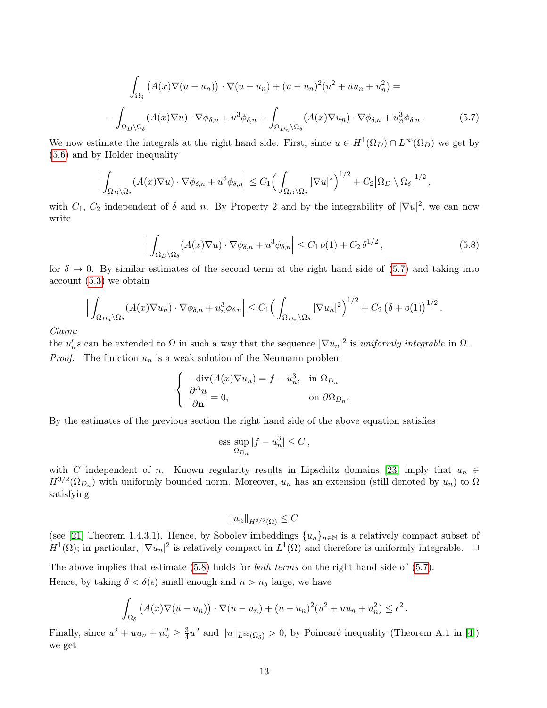<span id="page-12-0"></span>
$$
\int_{\Omega_{\delta}} \left( A(x) \nabla (u - u_n) \right) \cdot \nabla (u - u_n) + (u - u_n)^2 (u^2 + uu_n + u_n^2) =
$$
\n
$$
-\int_{\Omega_D \setminus \Omega_{\delta}} (A(x) \nabla u) \cdot \nabla \phi_{\delta,n} + u^3 \phi_{\delta,n} + \int_{\Omega_{D_n} \setminus \Omega_{\delta}} (A(x) \nabla u_n) \cdot \nabla \phi_{\delta,n} + u_n^3 \phi_{\delta,n}.
$$
\n(5.7)

We now estimate the integrals at the right hand side. First, since  $u \in H^1(\Omega_D) \cap L^{\infty}(\Omega_D)$  we get by [\(5.6\)](#page-11-1) and by Holder inequality

<span id="page-12-1"></span>
$$
\Big|\int_{\Omega_D\setminus\Omega_\delta} (A(x)\nabla u)\cdot\nabla\phi_{\delta,n}+u^3\phi_{\delta,n}\Big|\leq C_1\Big(\int_{\Omega_D\setminus\Omega_\delta}|\nabla u|^2\Big)^{1/2}+C_2\big|\Omega_D\setminus\Omega_\delta\big|^{1/2},
$$

with  $C_1$ ,  $C_2$  independent of  $\delta$  and n. By Property 2 and by the integrability of  $|\nabla u|^2$ , we can now write

$$
\left| \int_{\Omega_D \setminus \Omega_\delta} (A(x) \nabla u) \cdot \nabla \phi_{\delta,n} + u^3 \phi_{\delta,n} \right| \le C_1 \, o(1) + C_2 \, \delta^{1/2} \,, \tag{5.8}
$$

,

for  $\delta \to 0$ . By similar estimates of the second term at the right hand side of [\(5.7\)](#page-12-0) and taking into account [\(5.3\)](#page-11-2) we obtain

$$
\Big|\int_{\Omega_{D_n}\setminus\Omega_{\delta}} (A(x)\nabla u_n)\cdot\nabla\phi_{\delta,n} + u_n^3\phi_{\delta,n}\Big| \leq C_1 \Big(\int_{\Omega_{D_n}\setminus\Omega_{\delta}} |\nabla u_n|^2\Big)^{1/2} + C_2 \left(\delta + o(1)\right)^{1/2}.
$$

Claim:

the  $u'_n s$  can be extended to  $\Omega$  in such a way that the sequence  $|\nabla u_n|^2$  is uniformly integrable in  $\Omega$ . *Proof.* The function  $u_n$  is a weak solution of the Neumann problem

$$
\begin{cases}\n-\text{div}(A(x)\nabla u_n) = f - u_n^3, & \text{in } \Omega_{D_n} \\
\frac{\partial^A u}{\partial \mathbf{n}} = 0, & \text{on } \partial \Omega_{D_n}\n\end{cases}
$$

By the estimates of the previous section the right hand side of the above equation satisfies

$$
\text{ess}\sup_{\Omega_{D_n}}|f - u_n^3| \le C\,,
$$

with C independent of n. Known regularity results in Lipschitz domains [\[23\]](#page-30-8) imply that  $u_n \in$  $H^{3/2}(\Omega_{D_n})$  with uniformly bounded norm. Moreover,  $u_n$  has an extension (still denoted by  $u_n$ ) to  $\Omega$ satisfying

$$
||u_n||_{H^{3/2}(\Omega)} \leq C
$$

(see [\[21\]](#page-30-9) Theorem 1.4.3.1). Hence, by Sobolev imbeddings  $\{u_n\}_{n\in\mathbb{N}}$  is a relatively compact subset of  $H^1(\Omega)$ ; in particular,  $|\nabla u_n|^2$  is relatively compact in  $L^1(\Omega)$  and therefore is uniformly integrable.  $\Box$ 

The above implies that estimate [\(5.8\)](#page-12-1) holds for *both terms* on the right hand side of [\(5.7\)](#page-12-0). Hence, by taking  $\delta < \delta(\epsilon)$  small enough and  $n > n_{\delta}$  large, we have

$$
\int_{\Omega_{\delta}} \left( A(x) \nabla (u - u_n) \right) \cdot \nabla (u - u_n) + (u - u_n)^2 (u^2 + u u_n + u_n^2) \le \epsilon^2.
$$

Finally, since  $u^2 + uu_n + u_n^2 \geq \frac{3}{4}$  $\frac{3}{4}u^2$  and  $||u||_{L^{\infty}(\Omega_{\delta})} > 0$ , by Poincaré inequality (Theorem A.1 in [\[4\]](#page-29-0)) we get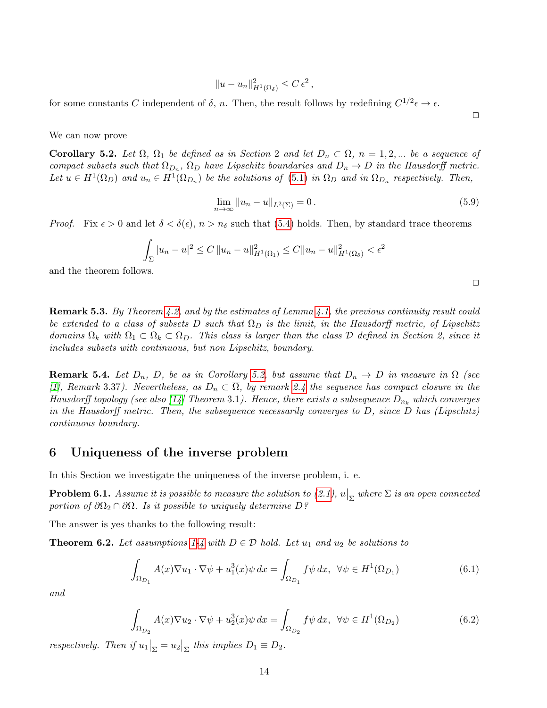$$
||u - u_n||_{H^1(\Omega_\delta)}^2 \le C \epsilon^2,
$$

for some constants C independent of  $\delta$ , n. Then, the result follows by redefining  $C^{1/2} \epsilon \to \epsilon$ .

We can now prove

<span id="page-13-2"></span>Corollary 5.2. Let  $\Omega$ ,  $\Omega_1$  be defined as in Section 2 and let  $D_n \subset \Omega$ ,  $n = 1, 2, ...$  be a sequence of compact subsets such that  $\Omega_{D_n}$ ,  $\Omega_D$  have Lipschitz boundaries and  $D_n \to D$  in the Hausdorff metric. Let  $u \in H^1(\Omega_D)$  and  $u_n \in H^1(\Omega_{D_n})$  be the solutions of [\(5.1\)](#page-10-2) in  $\Omega_D$  and in  $\Omega_{D_n}$  respectively. Then,

$$
\lim_{n \to \infty} \|u_n - u\|_{L^2(\Sigma)} = 0.
$$
\n(5.9)

*Proof.* Fix  $\epsilon > 0$  and let  $\delta < \delta(\epsilon)$ ,  $n > n_{\delta}$  such that [\(5.4\)](#page-11-3) holds. Then, by standard trace theorems

$$
\int_{\Sigma} |u_n - u|^2 \le C ||u_n - u||_{H^1(\Omega_1)}^2 \le C ||u_n - u||_{H^1(\Omega_\delta)}^2 < \epsilon^2
$$

and the theorem follows.

<span id="page-13-1"></span>**Remark 5.3.** By Theorem [4.2,](#page-9-0) and by the estimates of Lemma [4.1,](#page-8-3) the previous continuity result could be extended to a class of subsets D such that  $\Omega_D$  is the limit, in the Hausdorff metric, of Lipschitz domains  $\Omega_k$  with  $\Omega_1 \subset \Omega_k \subset \Omega_D$ . This class is larger than the class D defined in Section 2, since it includes subsets with continuous, but non Lipschitz, boundary.

**Remark 5.4.** Let  $D_n$ , D, be as in Corollary [5.2,](#page-13-2) but assume that  $D_n \to D$  in measure in  $\Omega$  (see [\[1\]](#page-29-12), Remark 3.37). Nevertheless, as  $D_n \subset \overline{\Omega}$ , by remark [2.4](#page-4-6) the sequence has compact closure in the Hausdorff topology (see also [\[14\]](#page-29-13) Theorem 3.1). Hence, there exists a subsequence  $D_{n_k}$  which converges in the Hausdorff metric. Then, the subsequence necessarily converges to  $D$ , since  $D$  has (Lipschitz) continuous boundary.

## <span id="page-13-0"></span>6 Uniqueness of the inverse problem

In this Section we investigate the uniqueness of the inverse problem, i. e.

**Problem 6.1.** Assume it is possible to measure the solution to  $(2.1)$ ,  $u|_{\Sigma}$  where  $\Sigma$  is an open connected portion of  $\partial\Omega_2 \cap \partial\Omega$ . Is it possible to uniquely determine D?

The answer is yes thanks to the following result:

**Theorem 6.2.** Let assumptions [1-](#page-3-3)[4](#page-4-5) with  $D \in \mathcal{D}$  hold. Let  $u_1$  and  $u_2$  be solutions to

$$
\int_{\Omega_{D_1}} A(x) \nabla u_1 \cdot \nabla \psi + u_1^3(x) \psi \, dx = \int_{\Omega_{D_1}} f \psi \, dx, \ \ \forall \psi \in H^1(\Omega_{D_1}) \tag{6.1}
$$

and

$$
\int_{\Omega_{D_2}} A(x) \nabla u_2 \cdot \nabla \psi + u_2^3(x) \psi \, dx = \int_{\Omega_{D_2}} f \psi \, dx, \ \ \forall \psi \in H^1(\Omega_{D_2})
$$
\n
$$
(6.2)
$$

respectively. Then if  $u_1|_{\Sigma} = u_2|_{\Sigma}$  this implies  $D_1 \equiv D_2$ .

 $\Box$ 

 $\Box$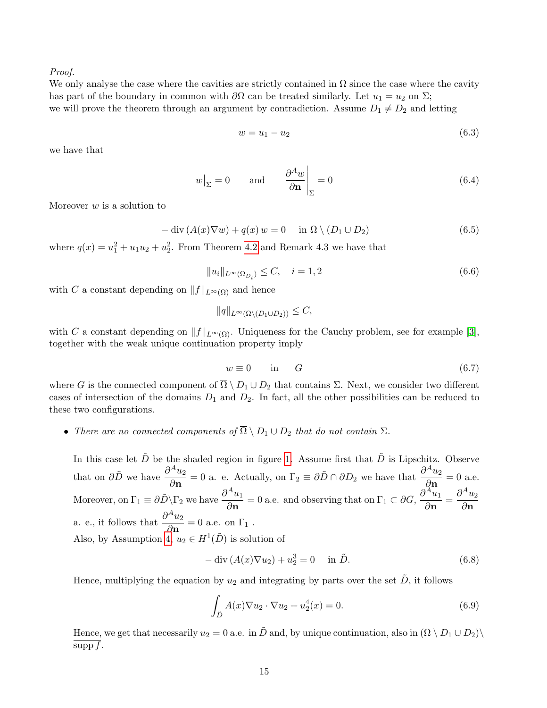#### Proof.

We only analyse the case where the cavities are strictly contained in  $\Omega$  since the case where the cavity has part of the boundary in common with  $\partial\Omega$  can be treated similarly. Let  $u_1 = u_2$  on  $\Sigma$ ; we will prove the theorem through an argument by contradiction. Assume  $D_1 \neq D_2$  and letting

$$
w = u_1 - u_2 \tag{6.3}
$$

we have that

$$
w\big|_{\Sigma} = 0 \quad \text{and} \quad \frac{\partial^A w}{\partial \mathbf{n}}\big|_{\Sigma} = 0 \tag{6.4}
$$

Moreover  $w$  is a solution to

$$
-\operatorname{div}(A(x)\nabla w) + q(x) w = 0 \quad \text{in } \Omega \setminus (D_1 \cup D_2)
$$
\n(6.5)

where  $q(x) = u_1^2 + u_1 u_2 + u_2^2$ . From Theorem [4.2](#page-9-0) and Remark 4.3 we have that

$$
||u_i||_{L^{\infty}(\Omega_{D_i})} \leq C, \quad i = 1, 2
$$
\n
$$
(6.6)
$$

with C a constant depending on  $||f||_{L^{\infty}(\Omega)}$  and hence

$$
||q||_{L^{\infty}(\Omega \setminus (D_1 \cup D_2))} \leq C,
$$

with C a constant depending on  $||f||_{L^{\infty}(\Omega)}$ . Uniqueness for the Cauchy problem, see for example [\[3\]](#page-29-7), together with the weak unique continuation property imply

$$
w \equiv 0 \qquad \text{in} \qquad G \tag{6.7}
$$

where G is the connected component of  $\overline{\Omega} \setminus D_1 \cup D_2$  that contains  $\Sigma$ . Next, we consider two different cases of intersection of the domains  $D_1$  and  $D_2$ . In fact, all the other possibilities can be reduced to these two configurations.

• There are no connected components of  $\overline{\Omega} \setminus D_1 \cup D_2$  that do not contain  $\Sigma$ .

In this case let  $\tilde{D}$  be the shaded region in figure [1.](#page-15-0) Assume first that  $\tilde{D}$  is Lipschitz. Observe that on  $\partial \tilde{D}$  we have  $\frac{\partial^A u_2}{\partial \Omega}$  $\frac{\partial^A u_2}{\partial \mathbf{n}} = 0$  a. e. Actually, on  $\Gamma_2 \equiv \partial \tilde{D} \cap \partial D_2$  we have that  $\frac{\partial^A u_2}{\partial \mathbf{n}}$  $\frac{a_2}{\partial \mathbf{n}} = 0$  a.e. Moreover, on  $\Gamma_1 \equiv \partial \tilde{D} \backslash \Gamma_2$  we have  $\frac{\partial^A u_1}{\partial \Gamma_1}$  $\frac{\partial^A u_1}{\partial \mathbf{n}} = 0$  a.e. and observing that on  $\Gamma_1 \subset \partial G$ ,  $\frac{\partial^A u_1}{\partial \mathbf{n}}$  $\frac{\partial^{\bar{A}} u_1}{\partial \mathbf{n}} = \frac{\partial^A u_2}{\partial \mathbf{n}}$ ∂n a. e., it follows that  $\frac{\partial^{A} u_2}{\partial A}$  $\frac{a_2}{\partial \mathbf{n}} = 0$  a.e. on  $\Gamma_1$ . Also, by Assumption  $\widetilde{A}, u_2 \in H^1(\tilde{D})$  is solution of

$$
-\operatorname{div}\left(A(x)\nabla u_2\right) + u_2^3 = 0 \quad \text{in } \tilde{D}.\tag{6.8}
$$

Hence, multiplying the equation by  $u_2$  and integrating by parts over the set  $\tilde{D}$ , it follows

$$
\int_{\tilde{D}} A(x) \nabla u_2 \cdot \nabla u_2 + u_2^4(x) = 0.
$$
\n(6.9)

Hence, we get that necessarily  $u_2 = 0$  a.e. in  $\tilde{D}$  and, by unique continuation, also in  $(\Omega \setminus D_1 \cup D_2)$ supp  $f$ .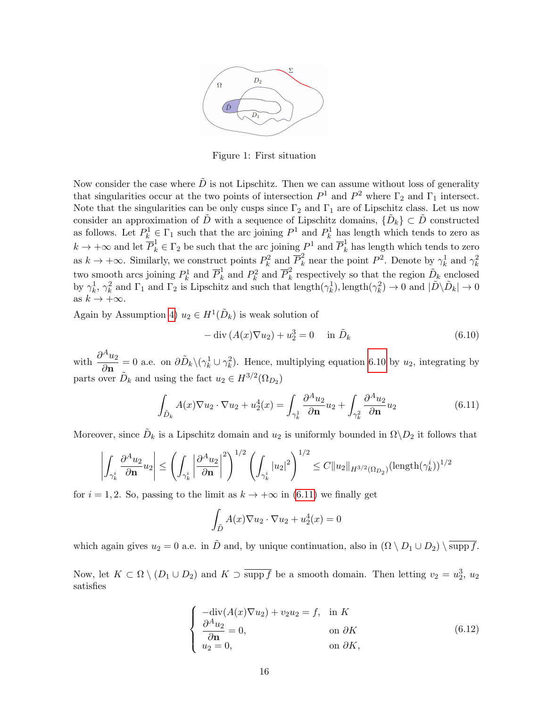

<span id="page-15-0"></span>Figure 1: First situation

Now consider the case where  $\tilde{D}$  is not Lipschitz. Then we can assume without loss of generality that singularities occur at the two points of intersection  $P^1$  and  $P^2$  where  $\Gamma_2$  and  $\Gamma_1$  intersect. Note that the singularities can be only cusps since  $\Gamma_2$  and  $\Gamma_1$  are of Lipschitz class. Let us now consider an approximation of  $\tilde{D}$  with a sequence of Lipschitz domains,  $\{\tilde{D}_k\} \subset \tilde{D}$  constructed as follows. Let  $P_k^1 \in \Gamma_1$  such that the arc joining  $P^1$  and  $P_k^1$  has length which tends to zero as  $k \to +\infty$  and let  $\overline{P}_k^1 \in \Gamma_2$  be such that the arc joining  $P^1$  and  $\overline{P}_k^1$  has length which tends to zero as  $k \to +\infty$ . Similarly, we construct points  $P_k^2$  and  $\overline{P}_k^2$  near the point  $P^2$ . Denote by  $\gamma_k^1$  and  $\gamma_k^2$ two smooth arcs joining  $P_k^1$  and  $\overline{P}_k^1$  and  $P_k^2$  and  $\overline{P}_k^2$  $\tilde{k}$  respectively so that the region  $\tilde{D}_k$  enclosed by  $\gamma_k^1$ ,  $\gamma_k^2$  and  $\Gamma_1$  and  $\Gamma_2$  is Lipschitz and such that length $(\gamma_k^1)$ , length $(\gamma_k^2) \to 0$  and  $|\tilde{D}\setminus \tilde{D}_k| \to 0$ as  $k \to +\infty$ .

Again by Assumption [4\)](#page-4-5)  $u_2 \in H^1(\tilde{D}_k)$  is weak solution of

<span id="page-15-1"></span>
$$
-\operatorname{div}\left(A(x)\nabla u_2\right) + u_2^3 = 0 \quad \text{in } \tilde{D}_k \tag{6.10}
$$

with  $\frac{\partial^{A} u_2}{\partial \cdot}$  $\frac{d^2 u_2}{d \mathbf{n}} = 0$  a.e. on  $\partial \tilde{D}_k \setminus (\gamma_k^1 \cup \gamma_k^2)$ . Hence, multiplying equation [6.10](#page-15-1) by  $u_2$ , integrating by parts over  $\tilde{D}_k$  and using the fact  $u_2 \in H^{3/2}(\Omega_{D_2})$ 

<span id="page-15-2"></span>
$$
\int_{\tilde{D}_k} A(x) \nabla u_2 \cdot \nabla u_2 + u_2^4(x) = \int_{\gamma_k^1} \frac{\partial^A u_2}{\partial \mathbf{n}} u_2 + \int_{\gamma_k^2} \frac{\partial^A u_2}{\partial \mathbf{n}} u_2 \tag{6.11}
$$

Moreover, since  $\tilde{D}_k$  is a Lipschitz domain and  $u_2$  is uniformly bounded in  $\Omega \backslash D_2$  it follows that

$$
\left|\int_{\gamma_k^i} \frac{\partial^A u_2}{\partial \mathbf{n}} u_2\right| \leq \left(\int_{\gamma_k^i} \left|\frac{\partial^A u_2}{\partial \mathbf{n}}\right|^2\right)^{1/2} \left(\int_{\gamma_k^i} |u_2|^2\right)^{1/2} \leq C \|u_2\|_{H^{3/2}(\Omega_{D_2})} (\text{length}(\gamma_k^i))^{1/2}
$$

for  $i = 1, 2$ . So, passing to the limit as  $k \to +\infty$  in [\(6.11\)](#page-15-2) we finally get

$$
\int_{\tilde{D}} A(x)\nabla u_2 \cdot \nabla u_2 + u_2^4(x) = 0
$$

which again gives  $u_2 = 0$  a.e. in  $\tilde{D}$  and, by unique continuation, also in  $(\Omega \setminus D_1 \cup D_2) \setminus \overline{\text{supp } f}$ .

Now, let  $K \subset \Omega \setminus (D_1 \cup D_2)$  and  $K \supset \overline{\text{supp } f}$  be a smooth domain. Then letting  $v_2 = u_2^3$ ,  $u_2$ satisfies

<span id="page-15-3"></span>
$$
\begin{cases}\n-\text{div}(A(x)\nabla u_2) + v_2 u_2 = f, & \text{in } K \\
\frac{\partial^A u_2}{\partial \mathbf{n}} = 0, & \text{on } \partial K \\
u_2 = 0, & \text{on } \partial K,\n\end{cases}
$$
\n(6.12)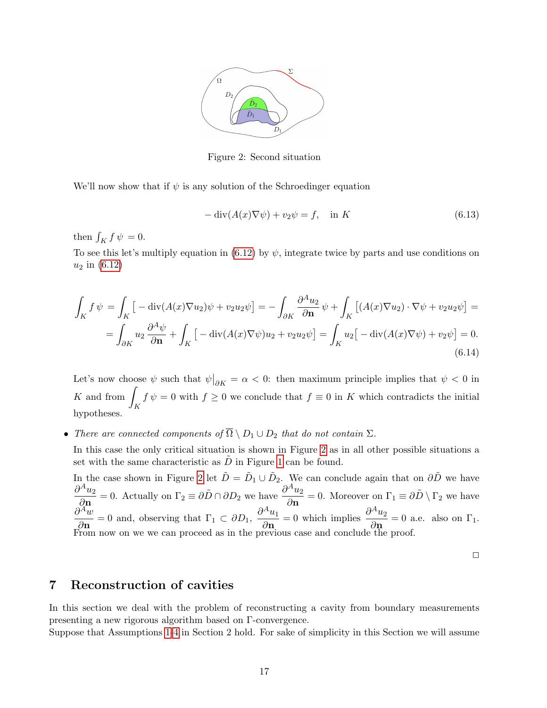

<span id="page-16-1"></span>Figure 2: Second situation

We'll now show that if  $\psi$  is any solution of the Schroedinger equation

$$
-\operatorname{div}(A(x)\nabla\psi) + v_2\psi = f, \quad \text{in } K \tag{6.13}
$$

then  $\int_K f \psi = 0$ .

To see this let's multiply equation in [\(6.12\)](#page-15-3) by  $\psi$ , integrate twice by parts and use conditions on  $u_2$  in  $(6.12)$ 

$$
\int_{K} f \psi = \int_{K} \left[ -\operatorname{div}(A(x)\nabla u_{2})\psi + v_{2}u_{2}\psi \right] = -\int_{\partial K} \frac{\partial^{A} u_{2}}{\partial \mathbf{n}} \psi + \int_{K} \left[ (A(x)\nabla u_{2}) \cdot \nabla \psi + v_{2}u_{2}\psi \right] =
$$
\n
$$
= \int_{\partial K} u_{2} \frac{\partial^{A} \psi}{\partial \mathbf{n}} + \int_{K} \left[ -\operatorname{div}(A(x)\nabla \psi)u_{2} + v_{2}u_{2}\psi \right] = \int_{K} u_{2} \left[ -\operatorname{div}(A(x)\nabla \psi) + v_{2}\psi \right] = 0.
$$
\n(6.14)

Let's now choose  $\psi$  such that  $\psi|_{\partial K} = \alpha < 0$ : then maximum principle implies that  $\psi < 0$  in  $K$  and from K  $f \psi = 0$  with  $f \geq 0$  we conclude that  $f \equiv 0$  in K which contradicts the initial hypotheses.

• There are connected components of  $\overline{\Omega} \setminus D_1 \cup D_2$  that do not contain  $\Sigma$ .

In this case the only critical situation is shown in Figure [2](#page-16-1) as in all other possible situations a set with the same characteristic as  $D$  in Figure [1](#page-15-0) can be found.

In the case shown in Figure [2](#page-16-1) let  $\tilde{D} = \tilde{D}_1 \cup \tilde{D}_2$ . We can conclude again that on  $\partial \tilde{D}$  we have  $\partial^A u_2$  $\frac{\partial^A u_2}{\partial \mathbf{n}} = 0$ . Actually on  $\Gamma_2 \equiv \partial \tilde{D} \cap \partial D_2$  we have  $\frac{\partial^A u_2}{\partial \mathbf{n}}$  $\frac{d^2 u_2}{d \mathbf{n}} = 0$ . Moreover on  $\Gamma_1 \equiv \partial \tilde{D} \setminus \Gamma_2$  we have  $\partial^{\bar A} w$  $\frac{\partial^A w}{\partial \mathbf{n}} = 0$  and, observing that  $\Gamma_1 \subset \partial D_1$ ,  $\frac{\partial^A u_1}{\partial \mathbf{n}}$  $rac{\partial^A u_1}{\partial \mathbf{n}} = 0$  which implies  $\frac{\partial^A u_2}{\partial \mathbf{n}}$  $\frac{\partial z}{\partial \mathbf{n}} = 0$  a.e. also on  $\Gamma_1$ . From now on we we can proceed as in the previous case and conclude the proof.

 $\Box$ 

## <span id="page-16-0"></span>7 Reconstruction of cavities

In this section we deal with the problem of reconstructing a cavity from boundary measurements presenting a new rigorous algorithm based on Γ-convergence.

Suppose that Assumptions [1-](#page-3-3)[4](#page-4-5) in Section 2 hold. For sake of simplicity in this Section we will assume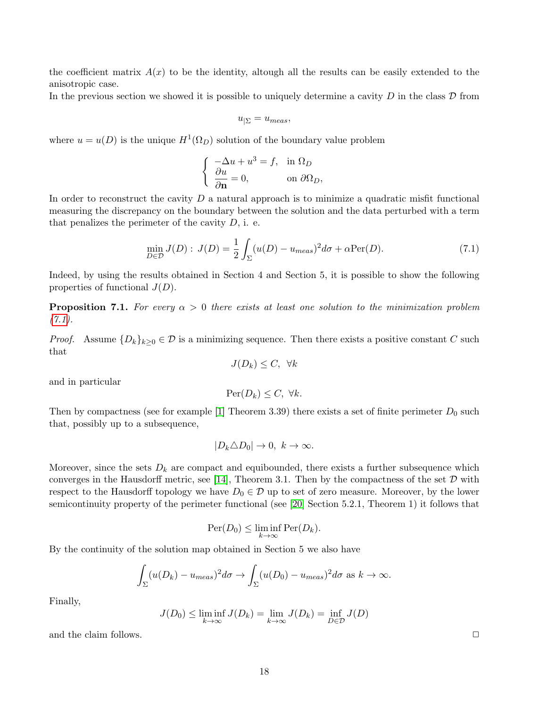the coefficient matrix  $A(x)$  to be the identity, altough all the results can be easily extended to the anisotropic case.

In the previous section we showed it is possible to uniquely determine a cavity D in the class  $\mathcal D$  from

$$
u_{|\Sigma} = u_{meas},
$$

where  $u = u(D)$  is the unique  $H^1(\Omega_D)$  solution of the boundary value problem

<span id="page-17-0"></span>
$$
\begin{cases}\n-\Delta u + u^3 = f, & \text{in } \Omega_D \\
\frac{\partial u}{\partial \mathbf{n}} = 0, & \text{on } \partial \Omega_D,\n\end{cases}
$$

In order to reconstruct the cavity  $D$  a natural approach is to minimize a quadratic misfit functional measuring the discrepancy on the boundary between the solution and the data perturbed with a term that penalizes the perimeter of the cavity  $D$ , i. e.

$$
\min_{D \in \mathcal{D}} J(D) : J(D) = \frac{1}{2} \int_{\Sigma} (u(D) - u_{meas})^2 d\sigma + \alpha \text{Per}(D). \tag{7.1}
$$

Indeed, by using the results obtained in Section 4 and Section 5, it is possible to show the following properties of functional  $J(D)$ .

**Proposition 7.1.** For every  $\alpha > 0$  there exists at least one solution to the minimization problem  $(7.1).$  $(7.1).$ 

*Proof.* Assume  $\{D_k\}_{k>0} \in \mathcal{D}$  is a minimizing sequence. Then there exists a positive constant C such that  $J(D_k) \leq C$ ,  $\forall k$ 

and in particular

$$
\operatorname{Per}(D_k) \le C, \ \forall k.
$$

Then by compactness (see for example [\[1\]](#page-29-12) Theorem 3.39) there exists a set of finite perimeter  $D_0$  such that, possibly up to a subsequence,

$$
|D_k \triangle D_0| \to 0, \ k \to \infty.
$$

Moreover, since the sets  $D_k$  are compact and equibounded, there exists a further subsequence which converges in the Hausdorff metric, see [\[14\]](#page-29-13), Theorem 3.1. Then by the compactness of the set  $\mathcal D$  with respect to the Hausdorff topology we have  $D_0 \in \mathcal{D}$  up to set of zero measure. Moreover, by the lower semicontinuity property of the perimeter functional (see [\[20\]](#page-30-5) Section 5.2.1, Theorem 1) it follows that

$$
\mathrm{Per}(D_0) \le \liminf_{k \to \infty} \mathrm{Per}(D_k).
$$

By the continuity of the solution map obtained in Section 5 we also have

$$
\int_{\Sigma} (u(D_k) - u_{meas})^2 d\sigma \to \int_{\Sigma} (u(D_0) - u_{meas})^2 d\sigma \text{ as } k \to \infty.
$$

Finally,

$$
J(D_0) \le \liminf_{k \to \infty} J(D_k) = \lim_{k \to \infty} J(D_k) = \inf_{D \in \mathcal{D}} J(D)
$$

and the claim follows.  $\Box$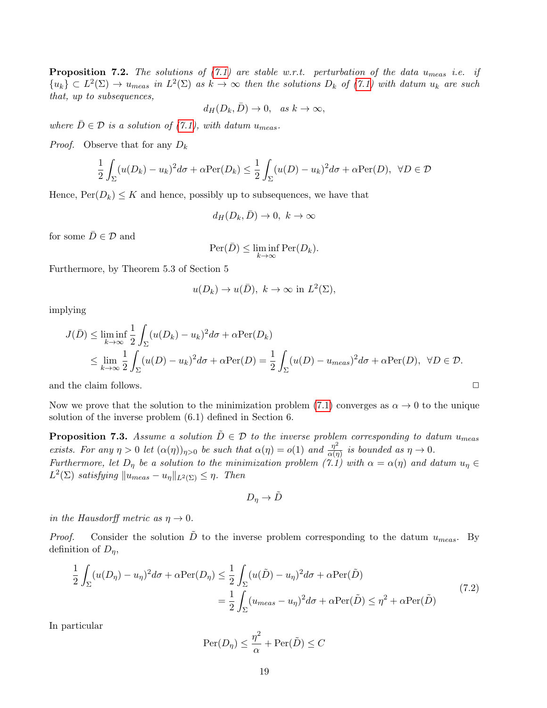**Proposition 7.2.** The solutions of  $(7.1)$  are stable w.r.t. perturbation of the data u<sub>meas</sub> i.e. if  ${u_k} \subset L^2(\Sigma) \to u_{meas}$  in  $L^2(\Sigma)$  as  $k \to \infty$  then the solutions  $D_k$  of [\(7.1\)](#page-17-0) with datum  $u_k$  are such that, up to subsequences,

$$
d_H(D_k, \bar{D}) \to 0, \quad as \ k \to \infty,
$$

where  $\bar{D} \in \mathcal{D}$  is a solution of [\(7.1\)](#page-17-0), with datum  $u_{meas}$ .

*Proof.* Observe that for any  $D_k$ 

$$
\frac{1}{2} \int_{\Sigma} (u(D_k) - u_k)^2 d\sigma + \alpha \text{Per}(D_k) \leq \frac{1}{2} \int_{\Sigma} (u(D) - u_k)^2 d\sigma + \alpha \text{Per}(D), \ \forall D \in \mathcal{D}
$$

Hence,  $Per(D_k) \leq K$  and hence, possibly up to subsequences, we have that

$$
d_H(D_k, \bar{D}) \to 0, \ k \to \infty
$$

for some  $\bar{D}\in\mathcal{D}$  and

$$
\operatorname{Per}(\bar{D}) \le \liminf_{k \to \infty} \operatorname{Per}(D_k).
$$

Furthermore, by Theorem 5.3 of Section 5

$$
u(D_k) \to u(\bar{D}), \ k \to \infty \text{ in } L^2(\Sigma),
$$

implying

$$
J(\bar{D}) \le \liminf_{k \to \infty} \frac{1}{2} \int_{\Sigma} (u(D_k) - u_k)^2 d\sigma + \alpha \text{Per}(D_k)
$$
  

$$
\le \lim_{k \to \infty} \frac{1}{2} \int_{\Sigma} (u(D) - u_k)^2 d\sigma + \alpha \text{Per}(D) = \frac{1}{2} \int_{\Sigma} (u(D) - u_{meas})^2 d\sigma + \alpha \text{Per}(D), \ \forall D \in \mathcal{D}.
$$

and the claim follows.  $\Box$ 

Now we prove that the solution to the minimization problem [\(7.1\)](#page-17-0) converges as  $\alpha \to 0$  to the unique solution of the inverse problem (6.1) defined in Section 6.

**Proposition 7.3.** Assume a solution  $\ddot{D} \in \mathcal{D}$  to the inverse problem corresponding to datum  $u_{meas}$ exists. For any  $\eta > 0$  let  $(\alpha(\eta))_{\eta>0}$  be such that  $\alpha(\eta) = o(1)$  and  $\frac{\eta^2}{\alpha(\eta)}$  $\frac{\eta^2}{\alpha(\eta)}$  is bounded as  $\eta \to 0$ . Furthermore, let  $D_{\eta}$  be a solution to the minimization problem  $(7.1)$  with  $\alpha = \alpha(\eta)$  and datum  $u_{\eta} \in$  $L^2(\Sigma)$  satisfying  $||u_{meas} - u_{\eta}||_{L^2(\Sigma)} \leq \eta$ . Then

$$
D_{\eta} \to \tilde{D}
$$

in the Hausdorff metric as  $\eta \to 0$ .

*Proof.* Consider the solution  $\tilde{D}$  to the inverse problem corresponding to the datum  $u_{meas}$ . By definition of  $D_{\eta}$ ,

<span id="page-18-0"></span>
$$
\frac{1}{2} \int_{\Sigma} (u(D_{\eta}) - u_{\eta})^2 d\sigma + \alpha \text{Per}(D_{\eta}) \leq \frac{1}{2} \int_{\Sigma} (u(\tilde{D}) - u_{\eta})^2 d\sigma + \alpha \text{Per}(\tilde{D})
$$
\n
$$
= \frac{1}{2} \int_{\Sigma} (u_{meas} - u_{\eta})^2 d\sigma + \alpha \text{Per}(\tilde{D}) \leq \eta^2 + \alpha \text{Per}(\tilde{D})
$$
\n(7.2)

In particular

$$
\operatorname{Per}(D_\eta) \le \frac{\eta^2}{\alpha} + \operatorname{Per}(\tilde{D}) \le C
$$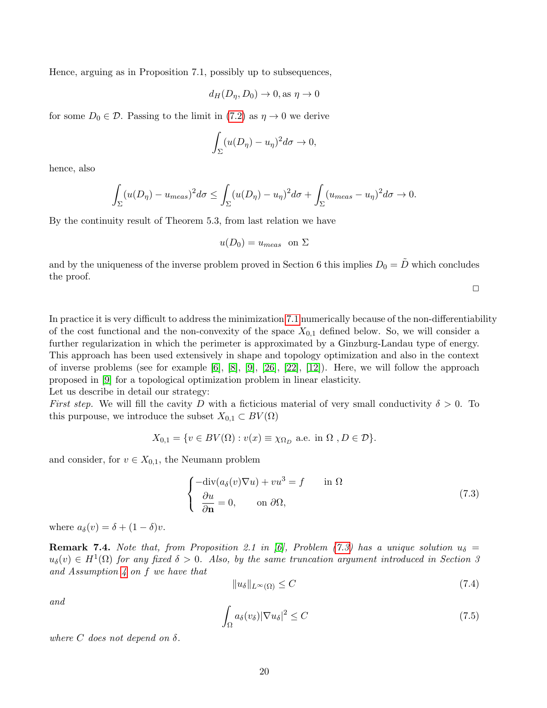Hence, arguing as in Proposition 7.1, possibly up to subsequences,

$$
d_H(D_\eta, D_0) \to 0, \text{as } \eta \to 0
$$

for some  $D_0 \in \mathcal{D}$ . Passing to the limit in [\(7.2\)](#page-18-0) as  $\eta \to 0$  we derive

$$
\int_{\Sigma} (u(D_{\eta}) - u_{\eta})^2 d\sigma \to 0,
$$

hence, also

$$
\int_{\Sigma} (u(D_{\eta}) - u_{meas})^2 d\sigma \le \int_{\Sigma} (u(D_{\eta}) - u_{\eta})^2 d\sigma + \int_{\Sigma} (u_{meas} - u_{\eta})^2 d\sigma \to 0.
$$

By the continuity result of Theorem 5.3, from last relation we have

$$
u(D_0) = u_{meas} \text{ on } \Sigma
$$

and by the uniqueness of the inverse problem proved in Section 6 this implies  $D_0 = \overline{D}$  which concludes the proof.

 $\Box$ 

In practice it is very difficult to address the minimization [7.1](#page-17-0) numerically because of the non-differentiability of the cost functional and the non-convexity of the space  $X_{0,1}$  defined below. So, we will consider a further regularization in which the perimeter is approximated by a Ginzburg-Landau type of energy. This approach has been used extensively in shape and topology optimization and also in the context of inverse problems (see for example [\[6\]](#page-29-2), [\[8\]](#page-29-3), [\[9\]](#page-29-8), [\[26\]](#page-30-1), [\[22\]](#page-30-2), [\[12\]](#page-29-4)). Here, we will follow the approach proposed in [\[9\]](#page-29-8) for a topological optimization problem in linear elasticity. Let us describe in detail our strategy:

First step. We will fill the cavity D with a ficticious material of very small conductivity  $\delta > 0$ . To this purpouse, we introduce the subset  $X_{0,1} \subset BV(\Omega)$ 

$$
X_{0,1} = \{ v \in BV(\Omega) : v(x) \equiv \chi_{\Omega_D} \text{ a.e. in } \Omega, D \in \mathcal{D} \}.
$$

and consider, for  $v \in X_{0,1}$ , the Neumann problem

<span id="page-19-0"></span>
$$
\begin{cases}\n-\text{div}(a_{\delta}(v)\nabla u) + vu^3 = f & \text{in } \Omega \\
\frac{\partial u}{\partial \mathbf{n}} = 0, & \text{on } \partial \Omega,\n\end{cases}
$$
\n(7.3)

where  $a_{\delta}(v) = \delta + (1 - \delta)v$ .

**Remark 7.4.** Note that, from Proposition 2.1 in [\[6\]](#page-29-2), Problem [\(7.3\)](#page-19-0) has a unique solution  $u_{\delta} =$  $u_{\delta}(v) \in H^{1}(\Omega)$  for any fixed  $\delta > 0$ . Also, by the same truncation argument introduced in Section 3 and Assumption  $4$  on  $f$  we have that

<span id="page-19-1"></span>
$$
||u_{\delta}||_{L^{\infty}(\Omega)} \leq C \tag{7.4}
$$

and

<span id="page-19-2"></span>
$$
\int_{\Omega} a_{\delta}(v_{\delta}) |\nabla u_{\delta}|^2 \le C \tag{7.5}
$$

where C does not depend on  $\delta$ .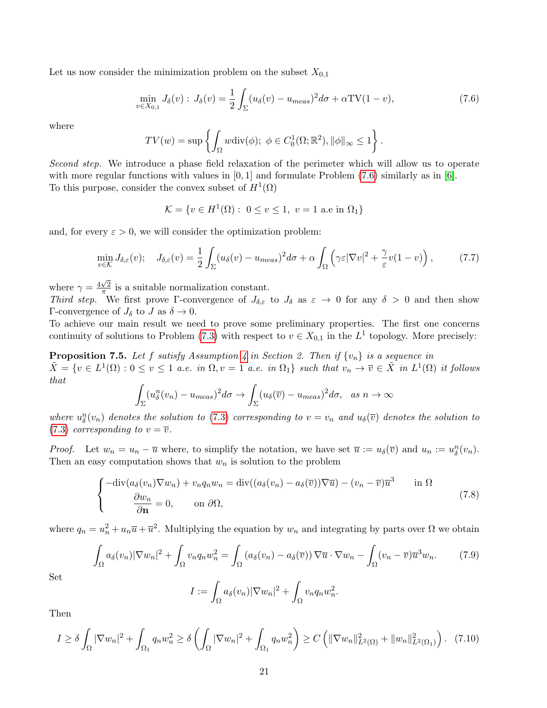Let us now consider the minimization problem on the subset  $X_{0,1}$ 

<span id="page-20-0"></span>
$$
\min_{v \in X_{0,1}} J_{\delta}(v) : J_{\delta}(v) = \frac{1}{2} \int_{\Sigma} (u_{\delta}(v) - u_{meas})^2 d\sigma + \alpha \text{TV}(1 - v), \tag{7.6}
$$

where

$$
TV(w) = \sup \left\{ \int_{\Omega} w \text{div}(\phi); \ \phi \in C_0^1(\Omega; \mathbb{R}^2), \|\phi\|_{\infty} \le 1 \right\}.
$$

Second step. We introduce a phase field relaxation of the perimeter which will allow us to operate with more regular functions with values in  $[0,1]$  and formulate Problem [\(7.6\)](#page-20-0) similarly as in  $[6]$ . To this purpose, consider the convex subset of  $H^1(\Omega)$ 

$$
\mathcal{K} = \{ v \in H^1(\Omega) : \ 0 \le v \le 1, \ v = 1 \text{ a.e in } \Omega_1 \}
$$

and, for every  $\varepsilon > 0$ , we will consider the optimization problem:

<span id="page-20-2"></span>
$$
\min_{v \in \mathcal{K}} J_{\delta,\varepsilon}(v); \quad J_{\delta,\varepsilon}(v) = \frac{1}{2} \int_{\Sigma} (u_{\delta}(v) - u_{meas})^2 d\sigma + \alpha \int_{\Omega} \left( \gamma \varepsilon |\nabla v|^2 + \frac{\gamma}{\varepsilon} v (1 - v) \right), \tag{7.7}
$$

where  $\gamma = \frac{4\sqrt{2}}{\pi}$  $\frac{\sqrt{2}}{\pi}$  is a suitable normalization constant.

Third step. We first prove Γ-convergence of  $J_{\delta,\varepsilon}$  to  $J_{\delta}$  as  $\varepsilon \to 0$  for any  $\delta > 0$  and then show Γ-convergence of  $J_\delta$  to  $J$  as  $\delta \to 0$ .

To achieve our main result we need to prove some preliminary properties. The first one concerns continuity of solutions to Problem [\(7.3\)](#page-19-0) with respect to  $v \in X_{0,1}$  in the  $L^1$  topology. More precisely:

<span id="page-20-3"></span>**Proposition 7.5.** Let f satisfy Assumption [4](#page-4-5) in Section 2. Then if  $\{v_n\}$  is a sequence in  $\tilde{X} = \{v \in L^1(\Omega) : 0 \le v \le 1 \text{ a.e. in } \Omega, v = 1 \text{ a.e. in } \Omega_1\}$  such that  $v_n \to \overline{v} \in \tilde{X}$  in  $L^1(\Omega)$  it follows that

$$
\int_{\Sigma} (u_{\delta}^{n}(v_{n}) - u_{meas})^{2} d\sigma \to \int_{\Sigma} (u_{\delta}(\overline{v}) - u_{meas})^{2} d\sigma, \text{ as } n \to \infty
$$

where  $u_{\delta}^{n}(v_{n})$  denotes the solution to [\(7.3\)](#page-19-0) corresponding to  $v = v_{n}$  and  $u_{\delta}(\overline{v})$  denotes the solution to [\(7.3\)](#page-19-0) corresponding to  $v = \overline{v}$ .

*Proof.* Let  $w_n = u_n - \overline{u}$  where, to simplify the notation, we have set  $\overline{u} := u_{\delta}(\overline{v})$  and  $u_n := u_{\delta}^n(v_n)$ . Then an easy computation shows that  $w_n$  is solution to the problem

$$
\begin{cases}\n-\text{div}(a_{\delta}(v_n)\nabla w_n) + v_n q_n w_n = \text{div}((a_{\delta}(v_n) - a_{\delta}(\overline{v}))\nabla \overline{u}) - (v_n - \overline{v})\overline{u}^3 & \text{in } \Omega \\
\frac{\partial w_n}{\partial \mathbf{n}} = 0, \qquad \text{on } \partial \Omega,\n\end{cases}
$$
\n(7.8)

where  $q_n = u_n^2 + u_n \overline{u} + \overline{u}^2$ . Multiplying the equation by  $w_n$  and integrating by parts over  $\Omega$  we obtain

$$
\int_{\Omega} a_{\delta}(v_n) |\nabla w_n|^2 + \int_{\Omega} v_n q_n w_n^2 = \int_{\Omega} \left( a_{\delta}(v_n) - a_{\delta}(\overline{v}) \right) \nabla \overline{u} \cdot \nabla w_n - \int_{\Omega} (v_n - \overline{v}) \overline{u}^3 w_n. \tag{7.9}
$$

Set

$$
I := \int_{\Omega} a_{\delta}(v_n) |\nabla w_n|^2 + \int_{\Omega} v_n q_n w_n^2.
$$

Then

<span id="page-20-1"></span>
$$
I \ge \delta \int_{\Omega} |\nabla w_n|^2 + \int_{\Omega_1} q_n w_n^2 \ge \delta \left( \int_{\Omega} |\nabla w_n|^2 + \int_{\Omega_1} q_n w_n^2 \right) \ge C \left( \|\nabla w_n\|_{L^2(\Omega)}^2 + \|w_n\|_{L^2(\Omega_1)}^2 \right). \tag{7.10}
$$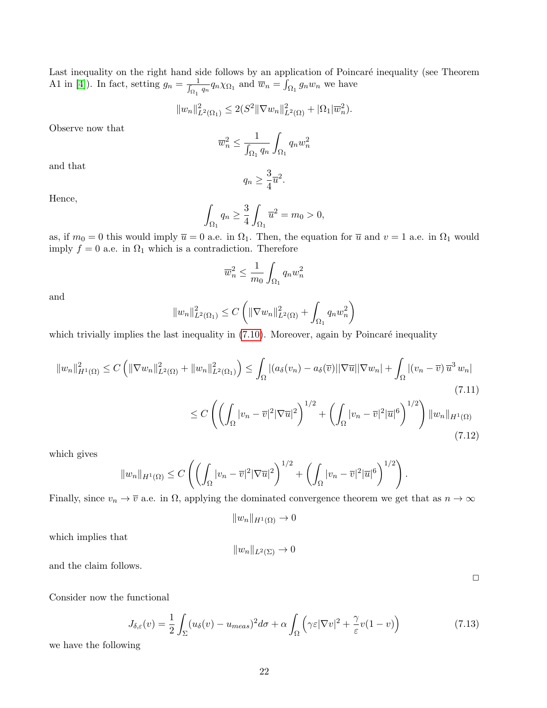Last inequality on the right hand side follows by an application of Poincaré inequality (see Theorem A1 in [\[4\]](#page-29-0)). In fact, setting  $g_n = \frac{1}{\int_{\Omega_1} q_n} q_n \chi_{\Omega_1}$  and  $\overline{w}_n = \int_{\Omega_1} g_n w_n$  we have

$$
||w_n||_{L^2(\Omega_1)}^2 \leq 2(S^2 ||\nabla w_n||_{L^2(\Omega)}^2 + |\Omega_1|\overline{w}_n^2).
$$

Observe now that

$$
\overline{w}_n^2 \le \frac{1}{\int_{\Omega_1} q_n} \int_{\Omega_1} q_n w_n^2
$$

and that

$$
q_n \ge \frac{3}{4}\overline{u}^2.
$$

Hence,

$$
\int_{\Omega_1} q_n \ge \frac{3}{4} \int_{\Omega_1} \overline{u}^2 = m_0 > 0,
$$

as, if  $m_0 = 0$  this would imply  $\overline{u} = 0$  a.e. in  $\Omega_1$ . Then, the equation for  $\overline{u}$  and  $v = 1$  a.e. in  $\Omega_1$  would imply  $f = 0$  a.e. in  $\Omega_1$  which is a contradiction. Therefore

$$
\overline{w}_n^2 \le \frac{1}{m_0} \int_{\Omega_1} q_n w_n^2
$$

and

$$
||w_n||_{L^2(\Omega_1)}^2 \le C \left( ||\nabla w_n||_{L^2(\Omega)}^2 + \int_{\Omega_1} q_n w_n^2 \right)
$$

which trivially implies the last inequality in  $(7.10)$ . Moreover, again by Poincaré inequality

$$
||w_n||_{H^1(\Omega)}^2 \le C \left( ||\nabla w_n||_{L^2(\Omega)}^2 + ||w_n||_{L^2(\Omega_1)}^2 \right) \le \int_{\Omega} |(a_\delta(v_n) - a_\delta(\overline{v})||\nabla \overline{u}||\nabla w_n| + \int_{\Omega} |(v_n - \overline{v}) \overline{u}^3 w_n|
$$
\n(7.11)

$$
\leq C\left(\left(\int_{\Omega}|v_n-\overline{v}|^2|\nabla\overline{u}|^2\right)^{1/2}+\left(\int_{\Omega}|v_n-\overline{v}|^2|\overline{u}|^6\right)^{1/2}\right)\|w_n\|_{H^1(\Omega)}\tag{7.12}
$$

which gives

$$
||w_n||_{H^1(\Omega)} \leq C\left(\left(\int_{\Omega} |v_n - \overline{v}|^2 |\nabla \overline{u}|^2\right)^{1/2} + \left(\int_{\Omega} |v_n - \overline{v}|^2 |\overline{u}|^6\right)^{1/2}\right).
$$

Finally, since  $v_n \to \overline{v}$  a.e. in  $\Omega$ , applying the dominated convergence theorem we get that as  $n \to \infty$ 

$$
||w_n||_{H^1(\Omega)} \to 0
$$

which implies that

$$
||w_n||_{L^2(\Sigma)} \to 0
$$

and the claim follows.

Consider now the functional

$$
J_{\delta,\varepsilon}(v) = \frac{1}{2} \int_{\Sigma} (u_{\delta}(v) - u_{meas})^2 d\sigma + \alpha \int_{\Omega} \left( \gamma \varepsilon |\nabla v|^2 + \frac{\gamma}{\varepsilon} v (1 - v) \right) \tag{7.13}
$$

we have the following

 $\Box$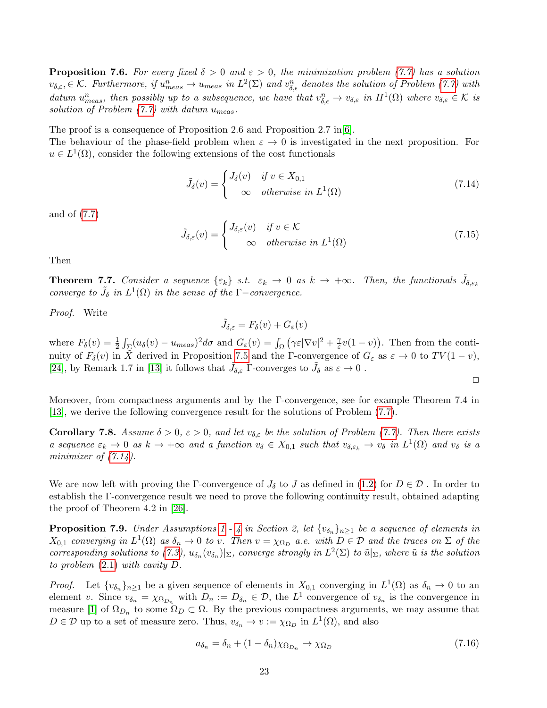**Proposition 7.6.** For every fixed  $\delta > 0$  and  $\varepsilon > 0$ , the minimization problem [\(7.7\)](#page-20-2) has a solution  $v_{\delta,\varepsilon} \in \mathcal{K}$ . Furthermore, if  $u_{meas}^n \to u_{meas}$  in  $L^2(\Sigma)$  and  $v_{\delta,\varepsilon}^n$  denotes the solution of Problem [\(7.7\)](#page-20-2) with datum  $u_{meas}^n$ , then possibly up to a subsequence, we have that  $v_{\delta,\epsilon}^n \to v_{\delta,\epsilon}$  in  $H^1(\Omega)$  where  $v_{\delta,\epsilon} \in \mathcal{K}$  is solution of Problem  $(7.7)$  with datum  $u_{meas}$ .

The proof is a consequence of Proposition 2.6 and Proposition 2.7 in  $[6]$ .

The behaviour of the phase-field problem when  $\varepsilon \to 0$  is investigated in the next proposition. For  $u \in L^1(\Omega)$ , consider the following extensions of the cost functionals

<span id="page-22-0"></span>
$$
\tilde{J}_{\delta}(v) = \begin{cases}\nJ_{\delta}(v) & \text{if } v \in X_{0,1} \\
\infty & \text{otherwise in } L^{1}(\Omega)\n\end{cases}
$$
\n(7.14)

and of [\(7.7\)](#page-20-2)

$$
\tilde{J}_{\delta,\varepsilon}(v) = \begin{cases} J_{\delta,\varepsilon}(v) & \text{if } v \in \mathcal{K} \\ \infty & \text{otherwise in } L^1(\Omega) \end{cases}
$$
\n(7.15)

Then

**Theorem 7.7.** Consider a sequence  $\{\varepsilon_k\}$  s.t.  $\varepsilon_k \to 0$  as  $k \to +\infty$ . Then, the functionals  $\tilde{J}_{\delta,\varepsilon_k}$ converge to  $\tilde{J}_{\delta}$  in  $L^{1}(\Omega)$  in the sense of the  $\Gamma$ -convergence.

Proof. Write

 $\tilde{J}_{\delta,\varepsilon} = F_{\delta}(v) + G_{\varepsilon}(v)$ 

where  $F_{\delta}(v) = \frac{1}{2} \int_{\Sigma} (u_{\delta}(v) - u_{meas})^2 d\sigma$  and  $G_{\varepsilon}(v) = \int_{\Omega} (\gamma \varepsilon |\nabla v|^2 + \frac{\gamma}{\varepsilon})$  $(\frac{\gamma}{\varepsilon}v(1-v))$ . Then from the continuity of  $F_\delta(v)$  in X derived in Proposition [7.5](#page-20-3) and the Γ-convergence of  $G_\varepsilon$  as  $\varepsilon \to 0$  to  $TV(1 - v)$ , [\[24\]](#page-30-10), by Remark 1.7 in [\[13\]](#page-29-14) it follows that  $\tilde{J}_{\delta,\varepsilon}$   $\Gamma$ -converges to  $\tilde{J}_{\delta}$  as  $\varepsilon \to 0$ .

 $\Box$ 

Moreover, from compactness arguments and by the Γ-convergence, see for example Theorem 7.4 in [\[13\]](#page-29-14), we derive the following convergence result for the solutions of Problem [\(7.7\)](#page-20-2).

**Corollary 7.8.** Assume  $\delta > 0$ ,  $\varepsilon > 0$ , and let  $v_{\delta,\varepsilon}$  be the solution of Problem [\(7.7\)](#page-20-2). Then there exists a sequence  $\varepsilon_k \to 0$  as  $k \to +\infty$  and a function  $v_\delta \in X_{0,1}$  such that  $v_{\delta, \varepsilon_k} \to v_\delta$  in  $L^1(\Omega)$  and  $v_\delta$  is a minimizer of  $(7.14)$ .

We are now left with proving the Γ-convergence of  $J_{\delta}$  to J as defined in [\(1.2\)](#page-2-0) for  $D \in \mathcal{D}$ . In order to establish the Γ-convergence result we need to prove the following continuity result, obtained adapting the proof of Theorem 4.2 in [\[26\]](#page-30-1).

<span id="page-22-2"></span>**Proposition 7.9.** Under Assumptions [1](#page-3-3) - [4](#page-4-5) in Section 2, let  $\{v_{\delta_n}\}_{n\geq 1}$  be a sequence of elements in  $X_{0,1}$  converging in  $L^1(\Omega)$  as  $\delta_n \to 0$  to v. Then  $v = \chi_{\Omega_D}$  a.e. with  $D \in \mathcal{D}$  and the traces on  $\Sigma$  of the corresponding solutions to [\(7.3\)](#page-19-0),  $u_{\delta_n}(v_{\delta_n})|_{\Sigma}$ , converge strongly in  $L^2(\Sigma)$  to  $\tilde{u}|_{\Sigma}$ , where  $\tilde{u}$  is the solution to problem [\(2.1\)](#page-3-1) with cavity D.

*Proof.* Let  $\{v_{\delta_n}\}_{n\geq 1}$  be a given sequence of elements in  $X_{0,1}$  converging in  $L^1(\Omega)$  as  $\delta_n \to 0$  to an element v. Since  $v_{\delta_n} = \chi_{\Omega_{D_n}}$  with  $D_n := D_{\delta_n} \in \mathcal{D}$ , the  $L^1$  convergence of  $v_{\delta_n}$  is the convergence in measure [\[1\]](#page-29-12) of  $\Omega_{D_n}$  to some  $\Omega_D \subset \Omega$ . By the previous compactness arguments, we may assume that  $D \in \mathcal{D}$  up to a set of measure zero. Thus,  $v_{\delta_n} \to v := \chi_{\Omega_D}$  in  $L^1(\Omega)$ , and also

<span id="page-22-1"></span>
$$
a_{\delta_n} = \delta_n + (1 - \delta_n)\chi_{\Omega_{D_n}} \to \chi_{\Omega_D}
$$
\n(7.16)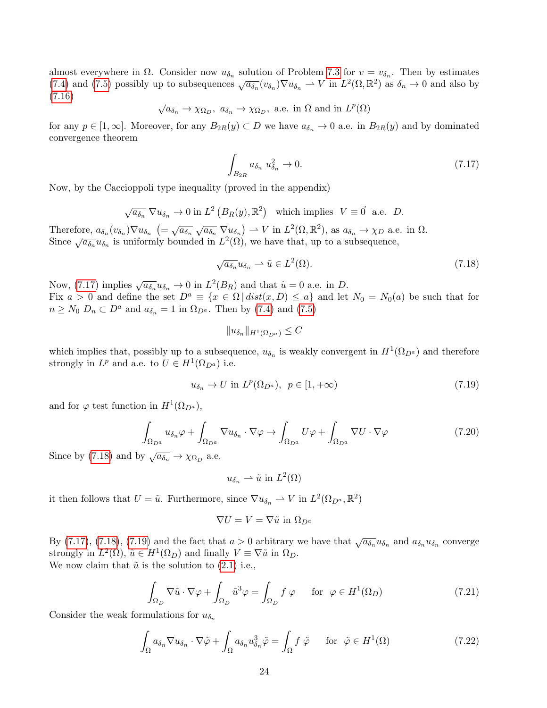almost everywhere in  $\Omega$ . Consider now  $u_{\delta_n}$  solution of Problem [7.3](#page-19-0) for  $v = v_{\delta_n}$ . Then by estimates [\(7.4\)](#page-19-1) and [\(7.5\)](#page-19-2) possibly up to subsequences  $\sqrt{a_{\delta_n}}(v_{\delta_n})\nabla u_{\delta_n} \to V$  in  $L^2(\Omega,\mathbb{R}^2)$  as  $\delta_n \to 0$  and also by [\(7.16\)](#page-22-1) √

$$
\sqrt{a_{\delta_n}} \to \chi_{\Omega_D}, a_{\delta_n} \to \chi_{\Omega_D}
$$
, a.e. in  $\Omega$  and in  $L^p(\Omega)$ 

for any  $p \in [1,\infty]$ . Moreover, for any  $B_{2R}(y) \subset D$  we have  $a_{\delta_n} \to 0$  a.e. in  $B_{2R}(y)$  and by dominated convergence theorem

<span id="page-23-0"></span>
$$
\int_{B_{2R}} a_{\delta_n} u_{\delta_n}^2 \to 0. \tag{7.17}
$$

Now, by the Caccioppoli type inequality (proved in the appendix)

$$
\sqrt{a_{\delta_n}} \nabla u_{\delta_n} \to 0
$$
 in  $L^2(B_R(y), \mathbb{R}^2)$  which implies  $V \equiv \vec{0}$  a.e. D.

Therefore,  $a_{\delta_n}(v_{\delta_n})\nabla u_{\delta_n}$   $\left(=\sqrt{a_{\delta_n}}\sqrt{a_{\delta_n}}\nabla u_{\delta_n}\right) \to V$  in  $L^2(\Omega,\mathbb{R}^2)$ , as  $a_{\delta_n} \to \chi_D$  a.e. in  $\Omega$ . Since  $\sqrt{a_{\delta_n}} u_{\delta_n}$  is uniformly bounded in  $L^2(\Omega)$ , we have that, up to a subsequence,

<span id="page-23-1"></span>
$$
\sqrt{a_{\delta_n}} u_{\delta_n} \rightharpoonup \tilde{u} \in L^2(\Omega). \tag{7.18}
$$

Now, [\(7.17\)](#page-23-0) implies  $\sqrt{a_{\delta_n}}u_{\delta_n} \to 0$  in  $L^2(B_R)$  and that  $\tilde{u} = 0$  a.e. in D. Fix  $a > 0$  and define the set  $D^a \equiv \{x \in \Omega \mid dist(x, D) \leq a\}$  and let  $N_0 = N_0(a)$  be such that for  $n \geq N_0$   $D_n \subset D^a$  and  $a_{\delta_n} = 1$  in  $\Omega_{D^a}$ . Then by [\(7.4\)](#page-19-1) and [\(7.5\)](#page-19-2)

$$
||u_{\delta_n}||_{H^1(\Omega_D a)} \leq C
$$

which implies that, possibly up to a subsequence,  $u_{\delta_n}$  is weakly convergent in  $H^1(\Omega_{D^a})$  and therefore strongly in  $L^p$  and a.e. to  $U \in H^1(\Omega_{D^a})$  i.e.

<span id="page-23-2"></span>
$$
u_{\delta_n} \to U \text{ in } L^p(\Omega_{D^a}), \ \ p \in [1, +\infty) \tag{7.19}
$$

and for  $\varphi$  test function in  $H^1(\Omega_{D^a}),$ 

$$
\int_{\Omega_{D^a}} u_{\delta_n} \varphi + \int_{\Omega_{D^a}} \nabla u_{\delta_n} \cdot \nabla \varphi \to \int_{\Omega_{D^a}} U \varphi + \int_{\Omega_{D^a}} \nabla U \cdot \nabla \varphi \tag{7.20}
$$

Since by [\(7.18\)](#page-23-1) and by  $\sqrt{a_{\delta_n}} \to \chi_{\Omega_D}$  a.e.

 $u_{\delta_n} \rightharpoonup \tilde{u}$  in  $L^2(\Omega)$ 

it then follows that  $U = \tilde{u}$ . Furthermore, since  $\nabla u_{\delta_n} \rightharpoonup V$  in  $L^2(\Omega_{D^a}, \mathbb{R}^2)$ 

$$
\nabla U = V = \nabla \tilde{u}
$$
 in  $\Omega_{D^a}$ 

By [\(7.17\)](#page-23-0), [\(7.18\)](#page-23-1), [\(7.19\)](#page-23-2) and the fact that  $a > 0$  arbitrary we have that  $\sqrt{a_{\delta_n}} u_{\delta_n}$  and  $a_{\delta_n} u_{\delta_n}$  converge strongly in  $L^2(\Omega)$ ,  $\tilde{u} \in H^1(\Omega_D)$  and finally  $V \equiv \nabla \tilde{u}$  in  $\Omega_D$ . We now claim that  $\tilde{u}$  is the solution to [\(2.1\)](#page-3-1) i.e.,

<span id="page-23-3"></span>
$$
\int_{\Omega_D} \nabla \tilde{u} \cdot \nabla \varphi + \int_{\Omega_D} \tilde{u}^3 \varphi = \int_{\Omega_D} f \varphi \quad \text{for } \varphi \in H^1(\Omega_D)
$$
\n(7.21)

Consider the weak formulations for  $u_{\delta_n}$ 

<span id="page-23-4"></span>
$$
\int_{\Omega} a_{\delta_n} \nabla u_{\delta_n} \cdot \nabla \tilde{\varphi} + \int_{\Omega} a_{\delta_n} u_{\delta_n}^3 \tilde{\varphi} = \int_{\Omega} f \tilde{\varphi} \quad \text{for } \tilde{\varphi} \in H^1(\Omega)
$$
\n(7.22)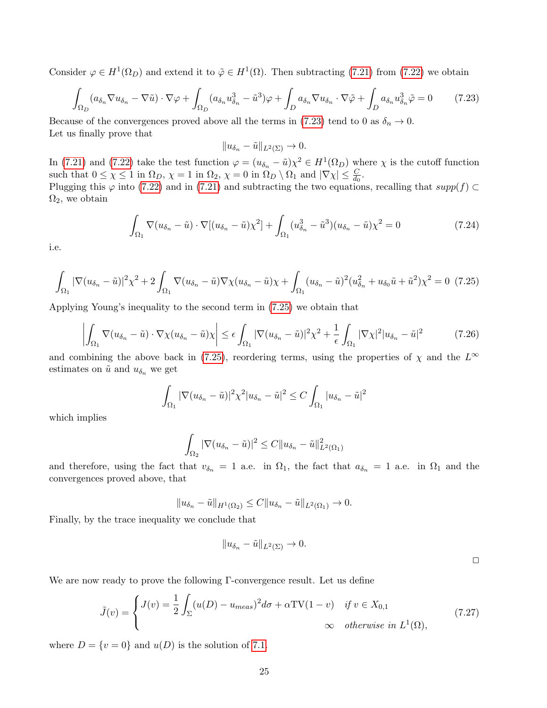Consider  $\varphi \in H^1(\Omega_D)$  and extend it to  $\tilde{\varphi} \in H^1(\Omega)$ . Then subtracting [\(7.21\)](#page-23-3) from [\(7.22\)](#page-23-4) we obtain

<span id="page-24-0"></span>
$$
\int_{\Omega_D} (a_{\delta_n} \nabla u_{\delta_n} - \nabla \tilde{u}) \cdot \nabla \varphi + \int_{\Omega_D} (a_{\delta_n} u_{\delta_n}^3 - \tilde{u}^3) \varphi + \int_D a_{\delta_n} \nabla u_{\delta_n} \cdot \nabla \tilde{\varphi} + \int_D a_{\delta_n} u_{\delta_n}^3 \tilde{\varphi} = 0 \tag{7.23}
$$

Because of the convergences proved above all the terms in [\(7.23\)](#page-24-0) tend to 0 as  $\delta_n \to 0$ . Let us finally prove that

$$
||u_{\delta_n}-\tilde{u}||_{L^2(\Sigma)}\to 0.
$$

In [\(7.21\)](#page-23-3) and [\(7.22\)](#page-23-4) take the test function  $\varphi = (u_{\delta_n} - \tilde{u})\chi^2 \in H^1(\Omega_D)$  where  $\chi$  is the cutoff function such that  $0 \le \chi \le 1$  in  $\Omega_D$ ,  $\chi = 1$  in  $\Omega_2$ ,  $\chi = 0$  in  $\Omega_D \setminus \Omega_1$  and  $|\nabla \chi| \le \frac{C}{d_0}$ .

Plugging this  $\varphi$  into [\(7.22\)](#page-23-4) and in [\(7.21\)](#page-23-3) and subtracting the two equations, recalling that supp(f) ⊂  $\Omega_2$ , we obtain

$$
\int_{\Omega_1} \nabla (u_{\delta_n} - \tilde{u}) \cdot \nabla [(u_{\delta_n} - \tilde{u}) \chi^2] + \int_{\Omega_1} (u_{\delta_n}^3 - \tilde{u}^3)(u_{\delta_n} - \tilde{u}) \chi^2 = 0 \tag{7.24}
$$

i.e.

<span id="page-24-1"></span>
$$
\int_{\Omega_1} |\nabla (u_{\delta_n} - \tilde{u})|^2 \chi^2 + 2 \int_{\Omega_1} \nabla (u_{\delta_n} - \tilde{u}) \nabla \chi (u_{\delta_n} - \tilde{u}) \chi + \int_{\Omega_1} (u_{\delta_n} - \tilde{u})^2 (u_{\delta_n}^2 + u_{\delta_0} \tilde{u} + \tilde{u}^2) \chi^2 = 0 \tag{7.25}
$$

Applying Young's inequality to the second term in [\(7.25\)](#page-24-1) we obtain that

$$
\left| \int_{\Omega_1} \nabla (u_{\delta_n} - \tilde{u}) \cdot \nabla \chi (u_{\delta_n} - \tilde{u}) \chi \right| \le \epsilon \int_{\Omega_1} |\nabla (u_{\delta_n} - \tilde{u})|^2 \chi^2 + \frac{1}{\epsilon} \int_{\Omega_1} |\nabla \chi|^2 |u_{\delta_n} - \tilde{u}|^2 \tag{7.26}
$$

and combining the above back in [\(7.25\)](#page-24-1), reordering terms, using the properties of  $\chi$  and the  $L^{\infty}$ estimates on  $\tilde{u}$  and  $u_{\delta_n}$  we get

$$
\int_{\Omega_1} |\nabla (u_{\delta_n} - \tilde{u})|^2 \chi^2 |u_{\delta_n} - \tilde{u}|^2 \leq C \int_{\Omega_1} |u_{\delta_n} - \tilde{u}|^2
$$

which implies

$$
\int_{\Omega_2} |\nabla (u_{\delta_n} - \tilde{u})|^2 \leq C \|u_{\delta_n} - \tilde{u}\|_{L^2(\Omega_1)}^2
$$

and therefore, using the fact that  $v_{\delta_n} = 1$  a.e. in  $\Omega_1$ , the fact that  $a_{\delta_n} = 1$  a.e. in  $\Omega_1$  and the convergences proved above, that

$$
||u_{\delta_n}-\tilde{u}||_{H^1(\Omega_2)} \leq C||u_{\delta_n}-\tilde{u}||_{L^2(\Omega_1)} \to 0.
$$

Finally, by the trace inequality we conclude that

$$
||u_{\delta_n}-\tilde{u}||_{L^2(\Sigma)}\to 0.
$$

 $\Box$ 

We are now ready to prove the following Γ-convergence result. Let us define

<span id="page-24-2"></span>
$$
\tilde{J}(v) = \begin{cases}\nJ(v) = \frac{1}{2} \int_{\Sigma} (u(D) - u_{meas})^2 d\sigma + \alpha \text{TV}(1 - v) & \text{if } v \in X_{0,1} \\
\infty & \text{otherwise in } L^1(\Omega),\n\end{cases}
$$
\n(7.27)

where  $D = \{v = 0\}$  and  $u(D)$  is the solution of [7.1.](#page-17-0)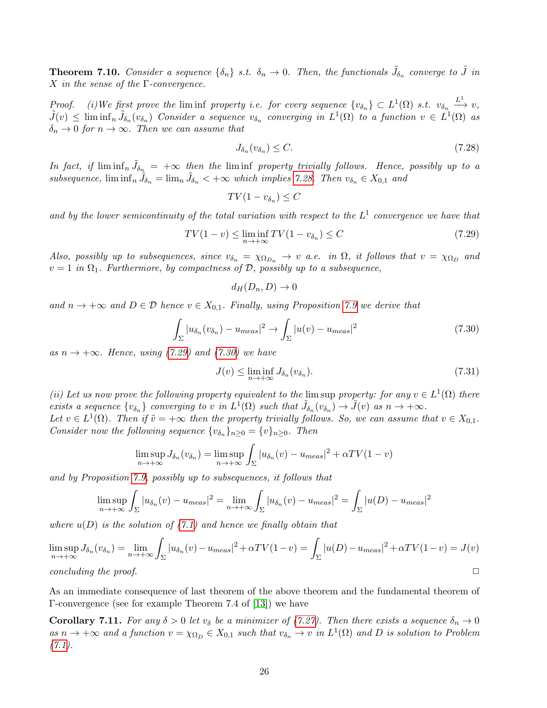**Theorem 7.10.** Consider a sequence  $\{\delta_n\}$  s.t.  $\delta_n \to 0$ . Then, the functionals  $\tilde{J}_{\delta_n}$  converge to  $\tilde{J}$  in X in the sense of the  $\Gamma$ -convergence.

Proof. (i) We first prove the liminf property i.e. for every sequence  $\{v_{\delta_n}\}\subset L^1(\Omega)$  s.t.  $v_{\delta_n}\stackrel{L^1}{\longrightarrow} v$ ,  $\tilde{J}(v) \leq \liminf_n \tilde{J}_{\delta_n}(v_{\delta_n})$  Consider a sequence  $v_{\delta_n}$  converging in  $L^1(\Omega)$  to a function  $v \in L^1(\Omega)$  as  $\delta_n \to 0$  for  $n \to \infty$ . Then we can assume that

<span id="page-25-0"></span>
$$
J_{\delta_n}(v_{\delta_n}) \le C. \tag{7.28}
$$

In fact, if  $\liminf_n \tilde{J}_{\delta_n} = +\infty$  then the  $\liminf$  property trivially follows. Hence, possibly up to a subsequence,  $\liminf_{n} \tilde{J}_{\delta_n} = \lim_{n} \tilde{J}_{\delta_n} < +\infty$  which implies [7.28.](#page-25-0) Then  $v_{\delta_n} \in X_{0,1}$  and

$$
TV(1 - v_{\delta_n}) \le C
$$

and by the lower semicontinuity of the total variation with respect to the  $L^1$  convergence we have that

<span id="page-25-1"></span>
$$
TV(1-v) \le \liminf_{n \to +\infty} TV(1-v_{\delta_n}) \le C \tag{7.29}
$$

Also, possibly up to subsequences, since  $v_{\delta_n} = \chi_{\Omega_{D_n}} \to v$  a.e. in  $\Omega$ , it follows that  $v = \chi_{\Omega_D}$  and  $v = 1$  in  $\Omega_1$ . Furthermore, by compactness of D, possibly up to a subsequence,

$$
d_H(D_n, D) \to 0
$$

and  $n \to +\infty$  and  $D \in \mathcal{D}$  hence  $v \in X_{0,1}$ . Finally, using Proposition [7.9](#page-22-2) we derive that

<span id="page-25-2"></span>
$$
\int_{\Sigma} |u_{\delta_n}(v_{\delta_n}) - u_{meas}|^2 \to \int_{\Sigma} |u(v) - u_{meas}|^2 \tag{7.30}
$$

as  $n \to +\infty$ . Hence, using [\(7.29\)](#page-25-1) and [\(7.30\)](#page-25-2) we have

$$
J(v) \le \liminf_{n \to +\infty} J_{\delta_n}(v_{\delta_n}).
$$
\n(7.31)

(ii) Let us now prove the following property equivalent to the lim sup property: for any  $v \in L^1(\Omega)$  there exists a sequence  $\{v_{\delta_n}\}\$ converging to v in  $L^1(\Omega)$  such that  $\tilde{J}_{\delta_n}(v_{\delta_n}) \to \tilde{J}(v)$  as  $n \to +\infty$ .

Let  $v \in L^1(\Omega)$ . Then if  $\tilde{v} = +\infty$  then the property trivially follows. So, we can assume that  $v \in X_{0,1}$ . Consider now the following sequence  $\{v_{\delta_n}\}_{n\geq 0} = \{v\}_{n\geq 0}$ . Then

$$
\limsup_{n \to +\infty} J_{\delta_n}(v_{\delta_n}) = \limsup_{n \to +\infty} \int_{\Sigma} |u_{\delta_n}(v) - u_{meas}|^2 + \alpha TV(1 - v)
$$

and by Proposition [7.9,](#page-22-2) possibly up to subsequences, it follows that

$$
\limsup_{n \to +\infty} \int_{\Sigma} |u_{\delta_n}(v) - u_{meas}|^2 = \lim_{n \to +\infty} \int_{\Sigma} |u_{\delta_n}(v) - u_{meas}|^2 = \int_{\Sigma} |u(D) - u_{meas}|^2
$$

where  $u(D)$  is the solution of  $(7.1)$  and hence we finally obtain that

$$
\limsup_{n \to +\infty} J_{\delta_n}(v_{\delta_n}) = \lim_{n \to +\infty} \int_{\Sigma} |u_{\delta_n}(v) - u_{meas}|^2 + \alpha TV(1 - v) = \int_{\Sigma} |u(D) - u_{meas}|^2 + \alpha TV(1 - v) = J(v)
$$
  
concluding the proof.

As an immediate consequence of last theorem of the above theorem and the fundamental theorem of Γ-convergence (see for example Theorem 7.4 of [\[13\]](#page-29-14)) we have

**Corollary 7.11.** For any  $\delta > 0$  let  $v_{\delta}$  be a minimizer of [\(7.27\)](#page-24-2). Then there exists a sequence  $\delta_n \to 0$ as  $n \to +\infty$  and a function  $v = \chi_{\Omega_D} \in X_{0,1}$  such that  $v_{\delta_n} \to v$  in  $L^1(\Omega)$  and D is solution to Problem  $(7.1).$  $(7.1).$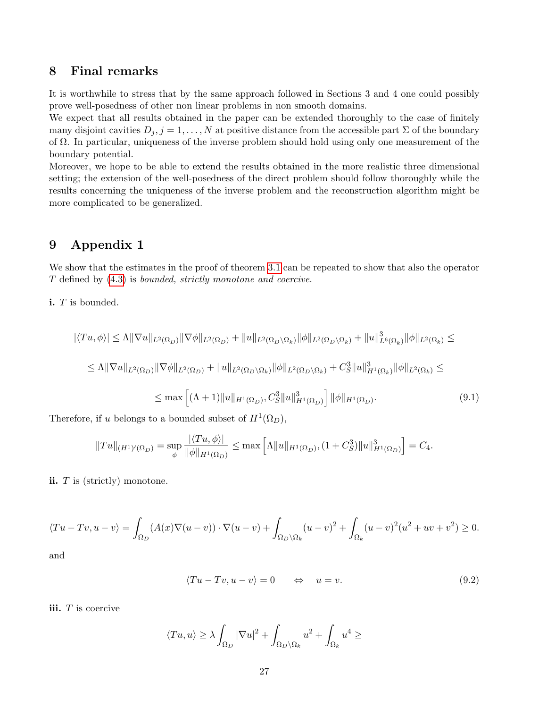#### <span id="page-26-0"></span>8 Final remarks

It is worthwhile to stress that by the same approach followed in Sections 3 and 4 one could possibly prove well-posedness of other non linear problems in non smooth domains.

We expect that all results obtained in the paper can be extended thoroughly to the case of finitely many disjoint cavities  $D_j$ ,  $j = 1, ..., N$  at positive distance from the accessible part  $\Sigma$  of the boundary of Ω. In particular, uniqueness of the inverse problem should hold using only one measurement of the boundary potential.

Moreover, we hope to be able to extend the results obtained in the more realistic three dimensional setting; the extension of the well-posedness of the direct problem should follow thoroughly while the results concerning the uniqueness of the inverse problem and the reconstruction algorithm might be more complicated to be generalized.

### <span id="page-26-1"></span>9 Appendix 1

We show that the estimates in the proof of theorem [3.1](#page-4-4) can be repeated to show that also the operator T defined by [\(4.3\)](#page-8-5) is bounded, strictly monotone and coercive.

i. T is bounded.

$$
|\langle Tu, \phi \rangle| \leq \Lambda \|\nabla u\|_{L^{2}(\Omega_{D})} \|\nabla \phi\|_{L^{2}(\Omega_{D})} + \|u\|_{L^{2}(\Omega_{D} \setminus \Omega_{k})} \|\phi\|_{L^{2}(\Omega_{D} \setminus \Omega_{k})} + \|u\|_{L^{6}(\Omega_{k})}^{3} \|\phi\|_{L^{2}(\Omega_{k})} \leq
$$
  
\n
$$
\leq \Lambda \|\nabla u\|_{L^{2}(\Omega_{D})} \|\nabla \phi\|_{L^{2}(\Omega_{D})} + \|u\|_{L^{2}(\Omega_{D} \setminus \Omega_{k})} \|\phi\|_{L^{2}(\Omega_{D} \setminus \Omega_{k})} + C_{S}^{3} \|u\|_{H^{1}(\Omega_{k})}^{3} \|\phi\|_{L^{2}(\Omega_{k})} \leq
$$
  
\n
$$
\leq \max \left[ (\Lambda + 1) \|u\|_{H^{1}(\Omega_{D})}, C_{S}^{3} \|u\|_{H^{1}(\Omega_{D})}^{3} \right] \|\phi\|_{H^{1}(\Omega_{D})}.
$$
  
\n(9.1)

Therefore, if u belongs to a bounded subset of  $H^1(\Omega_D)$ ,

$$
||Tu||_{(H^1)'(\Omega_D)} = \sup_{\phi} \frac{|\langle Tu, \phi \rangle|}{\|\phi\|_{H^1(\Omega_D)}} \le \max \left[ \Lambda ||u||_{H^1(\Omega_D)}, (1 + C_S^3) ||u||_{H^1(\Omega_D)}^3 \right] = C_4.
$$

ii. T is (strictly) monotone.

$$
\langle Tu - Tv, u - v \rangle = \int_{\Omega_D} (A(x) \nabla (u - v)) \cdot \nabla (u - v) + \int_{\Omega_D \setminus \Omega_k} (u - v)^2 + \int_{\Omega_k} (u - v)^2 (u^2 + uv + v^2) \ge 0.
$$

and

$$
\langle Tu - Tv, u - v \rangle = 0 \qquad \Leftrightarrow \quad u = v. \tag{9.2}
$$

iii.  $T$  is coercive

$$
\langle Tu, u \rangle \ge \lambda \int_{\Omega_D} |\nabla u|^2 + \int_{\Omega_D \setminus \Omega_k} u^2 + \int_{\Omega_k} u^4 \ge
$$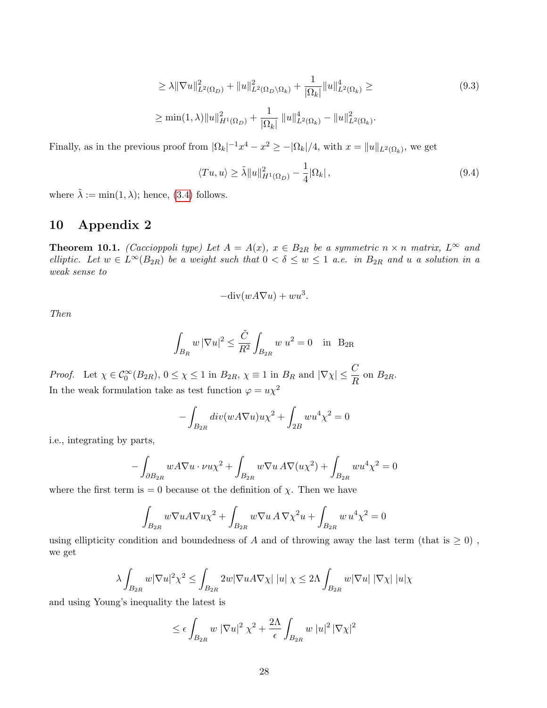$$
\geq \lambda \|\nabla u\|_{L^{2}(\Omega_{D})}^{2} + \|u\|_{L^{2}(\Omega_{D}\setminus\Omega_{k})}^{2} + \frac{1}{|\Omega_{k}|} \|u\|_{L^{2}(\Omega_{k})}^{4} \geq
$$
\n
$$
\geq \min(1,\lambda) \|u\|_{H^{1}(\Omega_{D})}^{2} + \frac{1}{|\Omega_{k}|} \|u\|_{L^{2}(\Omega_{k})}^{4} - \|u\|_{L^{2}(\Omega_{k})}^{2}.
$$
\n(9.3)

Finally, as in the previous proof from  $|\Omega_k|^{-1}x^4 - x^2 \ge -|\Omega_k|/4$ , with  $x = ||u||_{L^2(\Omega_k)}$ , we get

$$
\langle Tu, u \rangle \ge \tilde{\lambda} \|u\|_{H^1(\Omega_D)}^2 - \frac{1}{4} |\Omega_k| \,, \tag{9.4}
$$

where  $\tilde{\lambda} := \min(1, \lambda)$ ; hence, [\(3.4\)](#page-5-1) follows.

## <span id="page-27-0"></span>10 Appendix 2

**Theorem 10.1.** (Caccioppoli type) Let  $A = A(x)$ ,  $x \in B_{2R}$  be a symmetric  $n \times n$  matrix,  $L^{\infty}$  and elliptic. Let  $w \in L^{\infty}(B_{2R})$  be a weight such that  $0 < \delta \leq w \leq 1$  a.e. in  $B_{2R}$  and u a solution in a weak sense to

$$
-\text{div}(wA\nabla u) + w u^3.
$$

Then

$$
\int_{B_R} w |\nabla u|^2 \le \frac{\tilde{C}}{R^2} \int_{B_{2R}} w u^2 = 0 \quad \text{in} \quad B_{2R}
$$

Proof. Let  $\chi \in C_0^{\infty}(B_{2R}), 0 \leq \chi \leq 1$  in  $B_{2R}, \chi \equiv 1$  in  $B_R$  and  $|\nabla \chi| \leq \frac{C}{R}$  on  $B_{2R}$ . In the weak formulation take as test function  $\varphi = u\chi^2$ 

$$
-\int_{B_{2R}} div(wA\nabla u)u\chi^{2} + \int_{2B} w u^{4}\chi^{2} = 0
$$

i.e., integrating by parts,

$$
-\int_{\partial B_{2R}} w A \nabla u \cdot \nu u \chi^2 + \int_{B_{2R}} w \nabla u A \nabla (u \chi^2) + \int_{B_{2R}} w u^4 \chi^2 = 0
$$

where the first term is = 0 because ot the definition of  $\chi$ . Then we have

$$
\int_{B_{2R}} w \nabla u A \nabla u \chi^2 + \int_{B_{2R}} w \nabla u A \nabla \chi^2 u + \int_{B_{2R}} w u^4 \chi^2 = 0
$$

using ellipticity condition and boundedness of  $A$  and of throwing away the last term (that is  $\geq 0$ ), we get

$$
\lambda \int_{B_{2R}} w |\nabla u|^2 \chi^2 \le \int_{B_{2R}} 2w |\nabla u A \nabla \chi| |u| \chi \le 2\Lambda \int_{B_{2R}} w |\nabla u| |\nabla \chi| |u| \chi
$$

and using Young's inequality the latest is

$$
\leq \epsilon \int_{B_{2R}} w |\nabla u|^2 \chi^2 + \frac{2\Lambda}{\epsilon} \int_{B_{2R}} w |u|^2 |\nabla \chi|^2
$$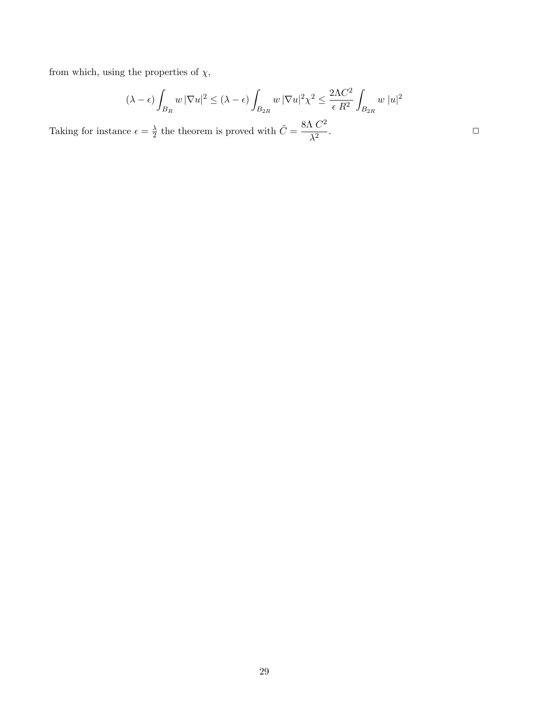from which, using the properties of  $\chi,$ 

$$
(\lambda - \epsilon) \int_{B_R} w \, |\nabla u|^2 \le (\lambda - \epsilon) \int_{B_{2R}} w \, |\nabla u|^2 \chi^2 \le \frac{2\Lambda C^2}{\epsilon R^2} \int_{B_{2R}} w \, |u|^2
$$

Taking for instance  $\epsilon = \frac{\lambda}{2}$  $\frac{\lambda}{2}$  the theorem is proved with  $\tilde{C} = \frac{8\Lambda C^2}{\lambda^2}$  $\lambda^2$ .  $\Box$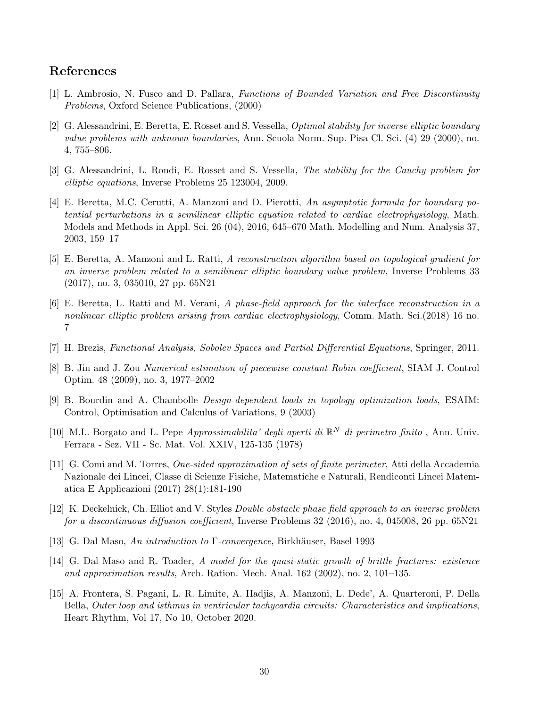#### References

- <span id="page-29-12"></span>[1] L. Ambrosio, N. Fusco and D. Pallara, Functions of Bounded Variation and Free Discontinuity Problems, Oxford Science Publications, (2000)
- <span id="page-29-6"></span>[2] G. Alessandrini, E. Beretta, E. Rosset and S. Vessella, Optimal stability for inverse elliptic boundary value problems with unknown boundaries, Ann. Scuola Norm. Sup. Pisa Cl. Sci. (4) 29 (2000), no. 4, 755–806.
- <span id="page-29-7"></span>[3] G. Alessandrini, L. Rondi, E. Rosset and S. Vessella, The stability for the Cauchy problem for elliptic equations, Inverse Problems 25 123004, 2009.
- <span id="page-29-0"></span>[4] E. Beretta, M.C. Cerutti, A. Manzoni and D. Pierotti, An asymptotic formula for boundary potential perturbations in a semilinear elliptic equation related to cardiac electrophysiology, Math. Models and Methods in Appl. Sci. 26 (04), 2016, 645–670 Math. Modelling and Num. Analysis 37, 2003, 159–17
- <span id="page-29-1"></span>[5] E. Beretta, A. Manzoni and L. Ratti, A reconstruction algorithm based on topological gradient for an inverse problem related to a semilinear elliptic boundary value problem, Inverse Problems 33 (2017), no. 3, 035010, 27 pp. 65N21
- <span id="page-29-2"></span>[6] E. Beretta, L. Ratti and M. Verani, A phase-field approach for the interface reconstruction in a nonlinear elliptic problem arising from cardiac electrophysiology, Comm. Math. Sci.(2018) 16 no. 7
- <span id="page-29-9"></span>[7] H. Brezis, Functional Analysis, Sobolev Spaces and Partial Differential Equations, Springer, 2011.
- <span id="page-29-3"></span>[8] B. Jin and J. Zou Numerical estimation of piecewise constant Robin coefficient, SIAM J. Control Optim. 48 (2009), no. 3, 1977–2002
- <span id="page-29-8"></span>[9] B. Bourdin and A. Chambolle Design-dependent loads in topology optimization loads, ESAIM: Control, Optimisation and Calculus of Variations, 9 (2003)
- <span id="page-29-10"></span>[10] M.L. Borgato and L. Pepe Approssimabilita' degli aperti di  $\mathbb{R}^N$  di perimetro finito, Ann. Univ. Ferrara - Sez. VII - Sc. Mat. Vol. XXIV, 125-135 (1978)
- <span id="page-29-11"></span>[11] G. Comi and M. Torres, One-sided approximation of sets of finite perimeter, Atti della Accademia Nazionale dei Lincei, Classe di Scienze Fisiche, Matematiche e Naturali, Rendiconti Lincei Matematica E Applicazioni (2017) 28(1):181-190
- <span id="page-29-4"></span>[12] K. Deckelnick, Ch. Elliot and V. Styles Double obstacle phase field approach to an inverse problem for a discontinuous diffusion coefficient, Inverse Problems 32 (2016), no. 4, 045008, 26 pp. 65N21
- <span id="page-29-14"></span>[13] G. Dal Maso, An introduction to Γ-convergence, Birkhäuser, Basel 1993
- <span id="page-29-13"></span>[14] G. Dal Maso and R. Toader, A model for the quasi-static growth of brittle fractures: existence and approximation results, Arch. Ration. Mech. Anal. 162 (2002), no. 2, 101–135.
- <span id="page-29-5"></span>[15] A. Frontera, S. Pagani, L. R. Limite, A. Hadjis, A. Manzoni, L. Dede', A. Quarteroni, P. Della Bella, Outer loop and isthmus in ventricular tachycardia circuits: Characteristics and implications, Heart Rhythm, Vol 17, No 10, October 2020.